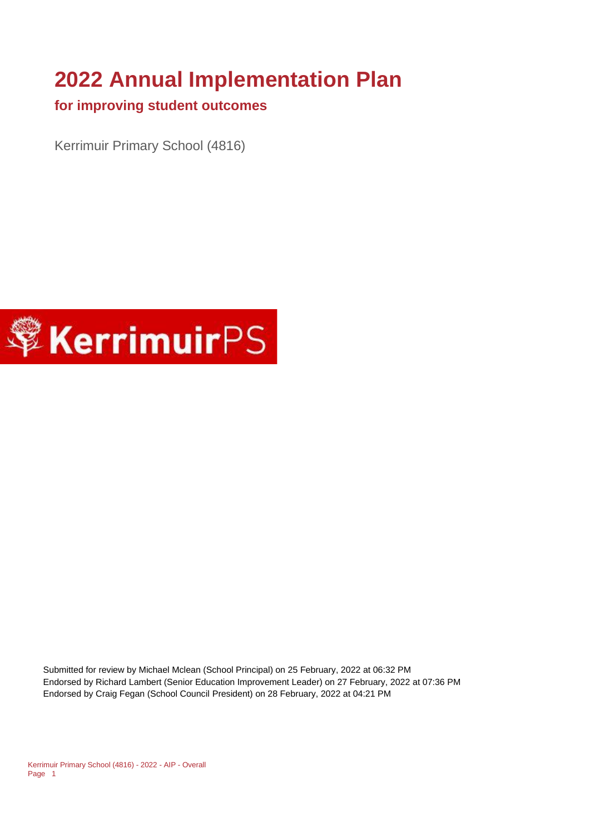# **2022 Annual Implementation Plan**

#### **for improving student outcomes**

Kerrimuir Primary School (4816)



Submitted for review by Michael Mclean (School Principal) on 25 February, 2022 at 06:32 PM Endorsed by Richard Lambert (Senior Education Improvement Leader) on 27 February, 2022 at 07:36 PM Endorsed by Craig Fegan (School Council President) on 28 February, 2022 at 04:21 PM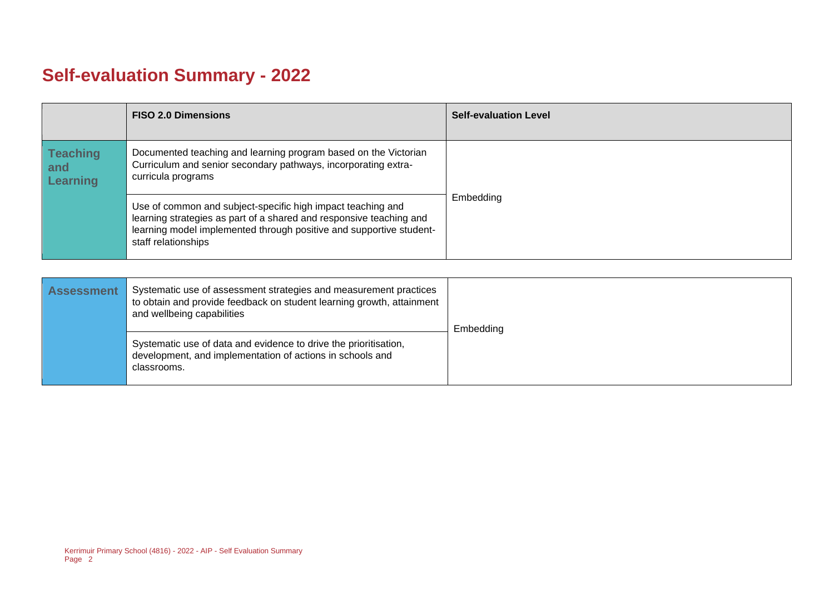# **Self-evaluation Summary - 2022**

|                                           | <b>FISO 2.0 Dimensions</b>                                                                                                                                                                                                       | <b>Self-evaluation Level</b> |
|-------------------------------------------|----------------------------------------------------------------------------------------------------------------------------------------------------------------------------------------------------------------------------------|------------------------------|
| <b>Teaching</b><br>and<br><b>Learning</b> | Documented teaching and learning program based on the Victorian<br>Curriculum and senior secondary pathways, incorporating extra-<br>curricula programs                                                                          |                              |
|                                           | Use of common and subject-specific high impact teaching and<br>learning strategies as part of a shared and responsive teaching and<br>learning model implemented through positive and supportive student-<br>staff relationships | Embedding                    |

| <b>Assessment</b> | Systematic use of assessment strategies and measurement practices<br>to obtain and provide feedback on student learning growth, attainment<br>and wellbeing capabilities | Embedding |
|-------------------|--------------------------------------------------------------------------------------------------------------------------------------------------------------------------|-----------|
|                   | Systematic use of data and evidence to drive the prioritisation,<br>development, and implementation of actions in schools and<br>classrooms.                             |           |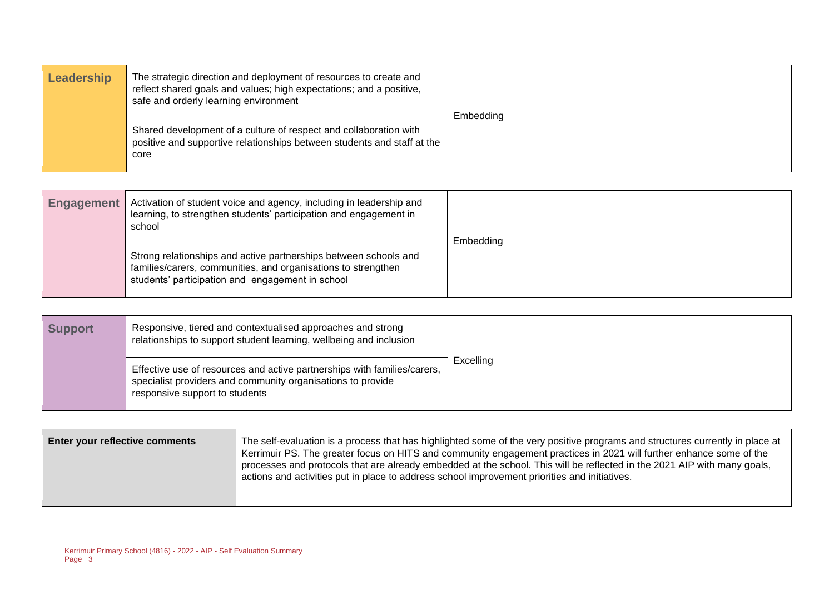| Leadership | The strategic direction and deployment of resources to create and<br>reflect shared goals and values; high expectations; and a positive,<br>safe and orderly learning environment | Embedding |
|------------|-----------------------------------------------------------------------------------------------------------------------------------------------------------------------------------|-----------|
|            | Shared development of a culture of respect and collaboration with<br>positive and supportive relationships between students and staff at the<br>core                              |           |

| <b>Engagement</b> | Activation of student voice and agency, including in leadership and<br>learning, to strengthen students' participation and engagement in<br>school                                    | Embedding |
|-------------------|---------------------------------------------------------------------------------------------------------------------------------------------------------------------------------------|-----------|
|                   | Strong relationships and active partnerships between schools and<br>families/carers, communities, and organisations to strengthen<br>students' participation and engagement in school |           |

| <b>Support</b> | Responsive, tiered and contextualised approaches and strong<br>relationships to support student learning, wellbeing and inclusion                                         |           |
|----------------|---------------------------------------------------------------------------------------------------------------------------------------------------------------------------|-----------|
|                | Effective use of resources and active partnerships with families/carers,<br>specialist providers and community organisations to provide<br>responsive support to students | Excelling |

| <b>Enter your reflective comments</b> | The self-evaluation is a process that has highlighted some of the very positive programs and structures currently in place at<br>Kerrimuir PS. The greater focus on HITS and community engagement practices in 2021 will further enhance some of the<br>processes and protocols that are already embedded at the school. This will be reflected in the 2021 AIP with many goals,<br>actions and activities put in place to address school improvement priorities and initiatives. |
|---------------------------------------|-----------------------------------------------------------------------------------------------------------------------------------------------------------------------------------------------------------------------------------------------------------------------------------------------------------------------------------------------------------------------------------------------------------------------------------------------------------------------------------|
|---------------------------------------|-----------------------------------------------------------------------------------------------------------------------------------------------------------------------------------------------------------------------------------------------------------------------------------------------------------------------------------------------------------------------------------------------------------------------------------------------------------------------------------|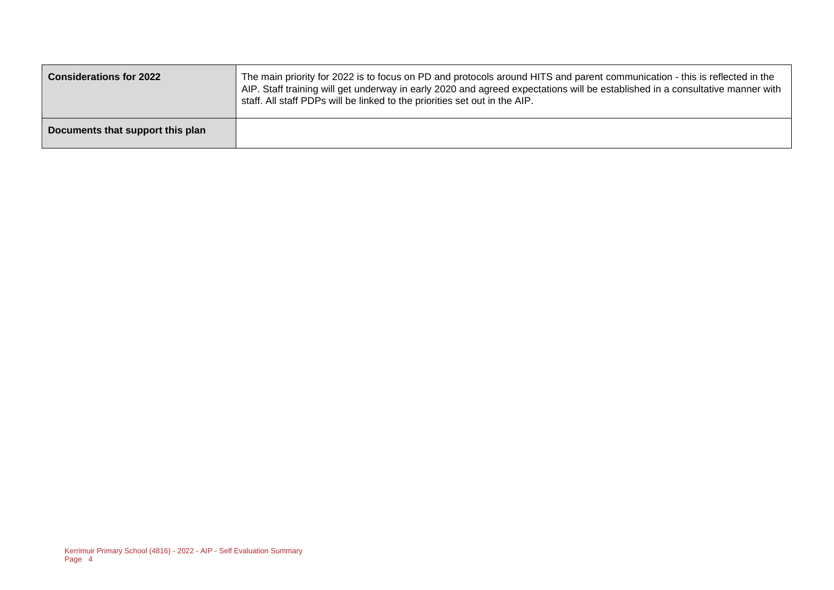| <b>Considerations for 2022</b>   | The main priority for 2022 is to focus on PD and protocols around HITS and parent communication - this is reflected in the<br>AIP. Staff training will get underway in early 2020 and agreed expectations will be established in a consultative manner with<br>staff. All staff PDPs will be linked to the priorities set out in the AIP. |
|----------------------------------|-------------------------------------------------------------------------------------------------------------------------------------------------------------------------------------------------------------------------------------------------------------------------------------------------------------------------------------------|
| Documents that support this plan |                                                                                                                                                                                                                                                                                                                                           |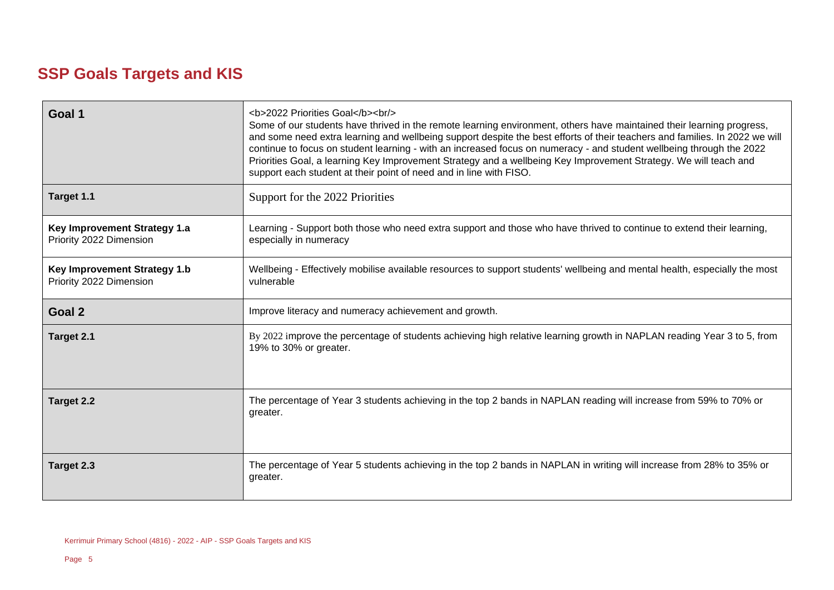# **SSP Goals Targets and KIS**

| Goal 1                                                         | <b>2022 Priorities Goal</b><br><br><br>Some of our students have thrived in the remote learning environment, others have maintained their learning progress,<br>and some need extra learning and wellbeing support despite the best efforts of their teachers and families. In 2022 we will<br>continue to focus on student learning - with an increased focus on numeracy - and student wellbeing through the 2022<br>Priorities Goal, a learning Key Improvement Strategy and a wellbeing Key Improvement Strategy. We will teach and<br>support each student at their point of need and in line with FISO. |  |
|----------------------------------------------------------------|---------------------------------------------------------------------------------------------------------------------------------------------------------------------------------------------------------------------------------------------------------------------------------------------------------------------------------------------------------------------------------------------------------------------------------------------------------------------------------------------------------------------------------------------------------------------------------------------------------------|--|
| Target 1.1                                                     | Support for the 2022 Priorities                                                                                                                                                                                                                                                                                                                                                                                                                                                                                                                                                                               |  |
| Key Improvement Strategy 1.a<br>Priority 2022 Dimension        | Learning - Support both those who need extra support and those who have thrived to continue to extend their learning,<br>especially in numeracy                                                                                                                                                                                                                                                                                                                                                                                                                                                               |  |
| <b>Key Improvement Strategy 1.b</b><br>Priority 2022 Dimension | Wellbeing - Effectively mobilise available resources to support students' wellbeing and mental health, especially the most<br>vulnerable                                                                                                                                                                                                                                                                                                                                                                                                                                                                      |  |
| Goal 2                                                         | Improve literacy and numeracy achievement and growth.                                                                                                                                                                                                                                                                                                                                                                                                                                                                                                                                                         |  |
| Target 2.1                                                     | By 2022 improve the percentage of students achieving high relative learning growth in NAPLAN reading Year 3 to 5, from<br>19% to 30% or greater.                                                                                                                                                                                                                                                                                                                                                                                                                                                              |  |
| Target 2.2                                                     | The percentage of Year 3 students achieving in the top 2 bands in NAPLAN reading will increase from 59% to 70% or<br>greater.                                                                                                                                                                                                                                                                                                                                                                                                                                                                                 |  |
| Target 2.3                                                     | The percentage of Year 5 students achieving in the top 2 bands in NAPLAN in writing will increase from 28% to 35% or<br>greater.                                                                                                                                                                                                                                                                                                                                                                                                                                                                              |  |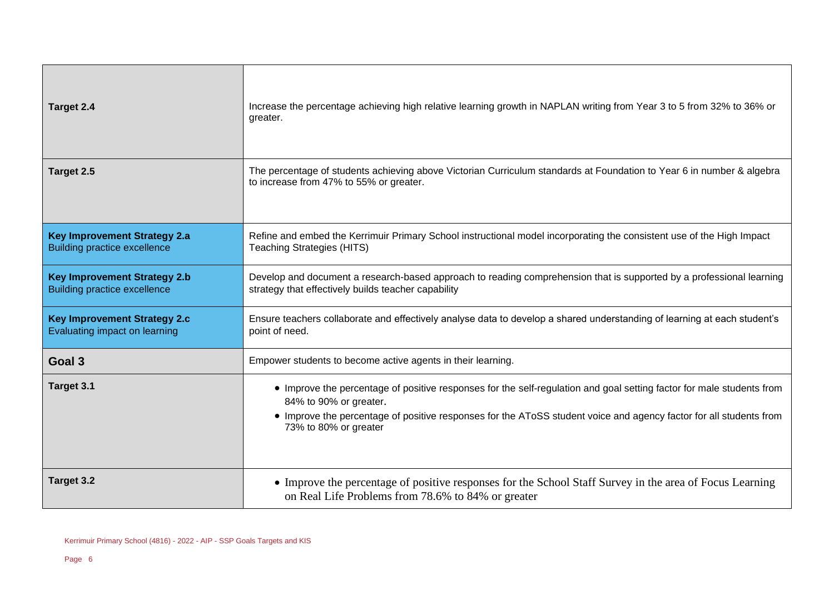| Increase the percentage achieving high relative learning growth in NAPLAN writing from Year 3 to 5 from 32% to 36% or<br>Target 2.4<br>greater.                              |                                                                                                                                                                                                                                                                                                |  |
|------------------------------------------------------------------------------------------------------------------------------------------------------------------------------|------------------------------------------------------------------------------------------------------------------------------------------------------------------------------------------------------------------------------------------------------------------------------------------------|--|
| Target 2.5                                                                                                                                                                   | The percentage of students achieving above Victorian Curriculum standards at Foundation to Year 6 in number & algebra<br>to increase from 47% to 55% or greater.                                                                                                                               |  |
| <b>Key Improvement Strategy 2.a</b><br><b>Building practice excellence</b>                                                                                                   | Refine and embed the Kerrimuir Primary School instructional model incorporating the consistent use of the High Impact<br><b>Teaching Strategies (HITS)</b>                                                                                                                                     |  |
| <b>Key Improvement Strategy 2.b</b><br><b>Building practice excellence</b>                                                                                                   | Develop and document a research-based approach to reading comprehension that is supported by a professional learning<br>strategy that effectively builds teacher capability                                                                                                                    |  |
| <b>Key Improvement Strategy 2.c</b><br>Evaluating impact on learning                                                                                                         | Ensure teachers collaborate and effectively analyse data to develop a shared understanding of learning at each student's<br>point of need.                                                                                                                                                     |  |
| Goal <sub>3</sub>                                                                                                                                                            | Empower students to become active agents in their learning.                                                                                                                                                                                                                                    |  |
| Target 3.1                                                                                                                                                                   | • Improve the percentage of positive responses for the self-regulation and goal setting factor for male students from<br>84% to 90% or greater.<br>• Improve the percentage of positive responses for the AToSS student voice and agency factor for all students from<br>73% to 80% or greater |  |
| Target 3.2<br>• Improve the percentage of positive responses for the School Staff Survey in the area of Focus Learning<br>on Real Life Problems from 78.6% to 84% or greater |                                                                                                                                                                                                                                                                                                |  |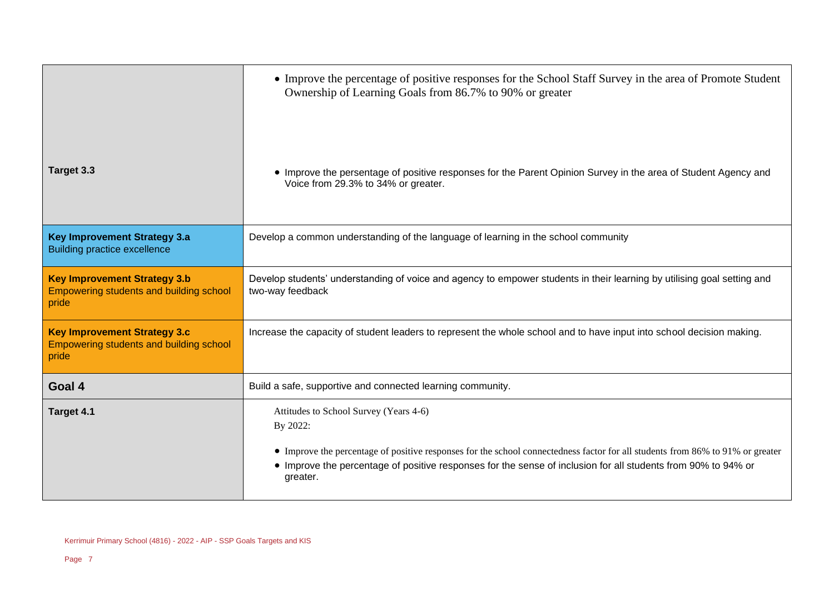|                                                                                         | • Improve the percentage of positive responses for the School Staff Survey in the area of Promote Student<br>Ownership of Learning Goals from 86.7% to 90% or greater                                                                                                                                             |  |
|-----------------------------------------------------------------------------------------|-------------------------------------------------------------------------------------------------------------------------------------------------------------------------------------------------------------------------------------------------------------------------------------------------------------------|--|
| Target 3.3                                                                              | • Improve the persentage of positive responses for the Parent Opinion Survey in the area of Student Agency and<br>Voice from 29.3% to 34% or greater.                                                                                                                                                             |  |
| <b>Key Improvement Strategy 3.a</b><br><b>Building practice excellence</b>              | Develop a common understanding of the language of learning in the school community                                                                                                                                                                                                                                |  |
| <b>Key Improvement Strategy 3.b</b><br>Empowering students and building school<br>pride | Develop students' understanding of voice and agency to empower students in their learning by utilising goal setting and<br>two-way feedback                                                                                                                                                                       |  |
| <b>Key Improvement Strategy 3.c</b><br>Empowering students and building school<br>pride | Increase the capacity of student leaders to represent the whole school and to have input into school decision making.                                                                                                                                                                                             |  |
| Goal 4                                                                                  | Build a safe, supportive and connected learning community.                                                                                                                                                                                                                                                        |  |
| Target 4.1                                                                              | Attitudes to School Survey (Years 4-6)<br>By 2022:<br>• Improve the percentage of positive responses for the school connectedness factor for all students from 86% to 91% or greater<br>• Improve the percentage of positive responses for the sense of inclusion for all students from 90% to 94% or<br>greater. |  |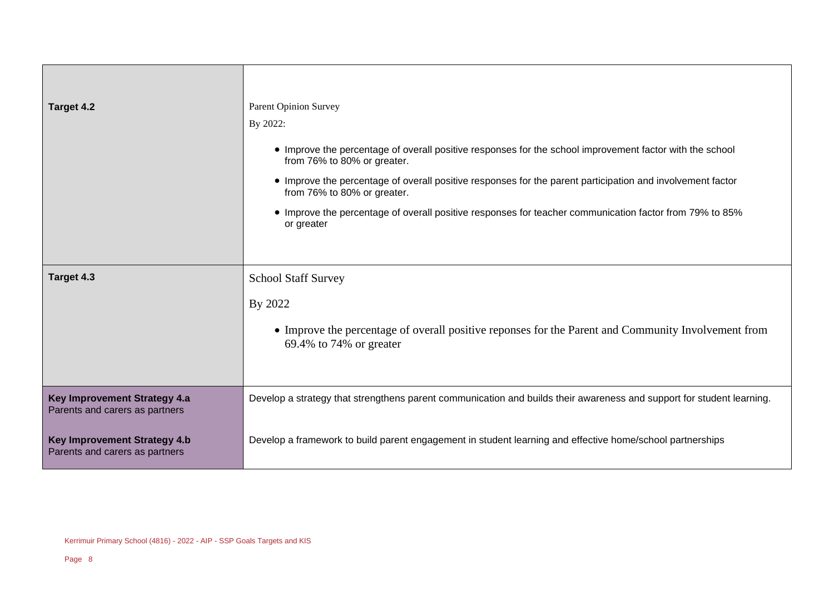| Target 4.2                                                            | <b>Parent Opinion Survey</b><br>By 2022:<br>• Improve the percentage of overall positive responses for the school improvement factor with the school<br>from 76% to 80% or greater.<br>• Improve the percentage of overall positive responses for the parent participation and involvement factor<br>from 76% to 80% or greater.<br>• Improve the percentage of overall positive responses for teacher communication factor from 79% to 85%<br>or greater |
|-----------------------------------------------------------------------|-----------------------------------------------------------------------------------------------------------------------------------------------------------------------------------------------------------------------------------------------------------------------------------------------------------------------------------------------------------------------------------------------------------------------------------------------------------|
| Target 4.3                                                            | <b>School Staff Survey</b><br>By 2022<br>• Improve the percentage of overall positive reponses for the Parent and Community Involvement from<br>69.4% to 74% or greater                                                                                                                                                                                                                                                                                   |
| Key Improvement Strategy 4.a<br>Parents and carers as partners        | Develop a strategy that strengthens parent communication and builds their awareness and support for student learning.                                                                                                                                                                                                                                                                                                                                     |
| <b>Key Improvement Strategy 4.b</b><br>Parents and carers as partners | Develop a framework to build parent engagement in student learning and effective home/school partnerships                                                                                                                                                                                                                                                                                                                                                 |

 $\overline{\phantom{a}}$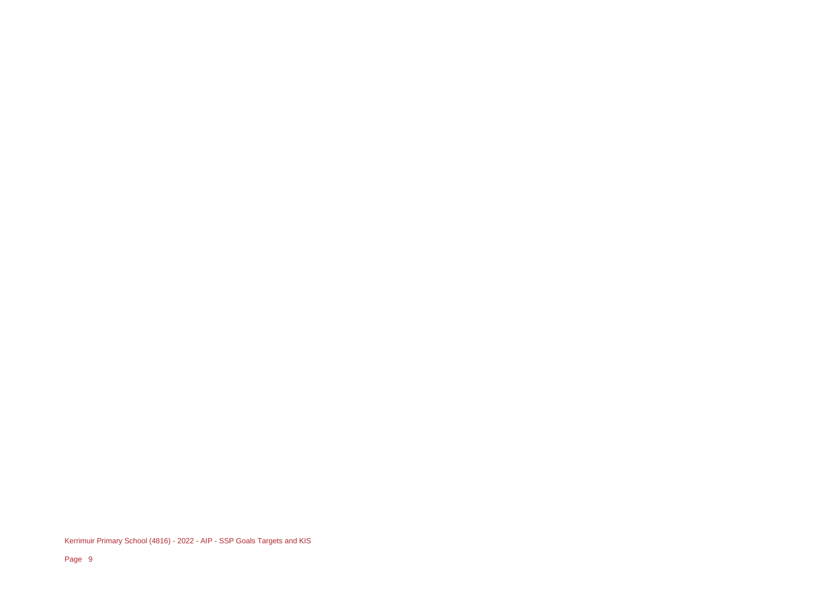Kerrimuir Primary School (4816) - 2022 - AIP - SSP Goals Targets and KIS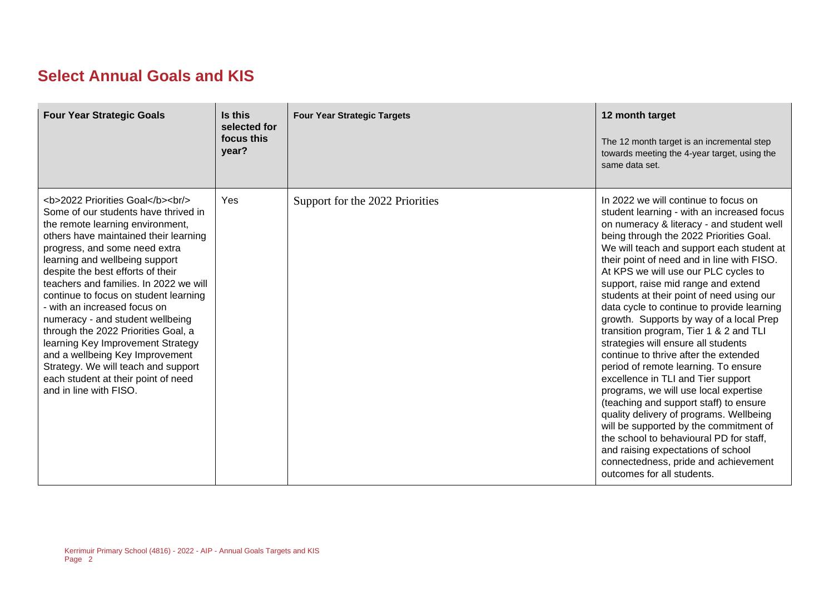### **Select Annual Goals and KIS**

| <b>Four Year Strategic Goals</b>                                                                                                                                                              | Is this<br>selected for<br>focus this<br>year? | <b>Four Year Strategic Targets</b> | 12 month target<br>The 12 month target is an incremental step<br>towards meeting the 4-year target, using the<br>same data set.                                                                                                                                                                                                                                                                                                                                                                                                                                                                                                                                                                                                                                                                                                                                                                                                                                                                                                   |
|-----------------------------------------------------------------------------------------------------------------------------------------------------------------------------------------------|------------------------------------------------|------------------------------------|-----------------------------------------------------------------------------------------------------------------------------------------------------------------------------------------------------------------------------------------------------------------------------------------------------------------------------------------------------------------------------------------------------------------------------------------------------------------------------------------------------------------------------------------------------------------------------------------------------------------------------------------------------------------------------------------------------------------------------------------------------------------------------------------------------------------------------------------------------------------------------------------------------------------------------------------------------------------------------------------------------------------------------------|
| <b>2022 Priorities Goal</b><br><br><br>Some of our students have thrived in<br>the remote learning environment,<br>others have maintained their learning<br>progress, and some need extra<br> | Yes                                            | Support for the 2022 Priorities    | In 2022 we will continue to focus on<br>student learning - with an increased focus<br>on numeracy & literacy - and student well<br>being through the 2022 Priorities Goal.<br>We will teach and support each student at<br>their point of need and in line with FISO.<br>At KPS we will use our PLC cycles to<br>support, raise mid range and extend<br>students at their point of need using our<br>data cycle to continue to provide learning<br>growth. Supports by way of a local Prep<br>transition program, Tier 1 & 2 and TLI<br>strategies will ensure all students<br>continue to thrive after the extended<br>period of remote learning. To ensure<br>excellence in TLI and Tier support<br>programs, we will use local expertise<br>(teaching and support staff) to ensure<br>quality delivery of programs. Wellbeing<br>will be supported by the commitment of<br>the school to behavioural PD for staff,<br>and raising expectations of school<br>connectedness, pride and achievement<br>outcomes for all students. |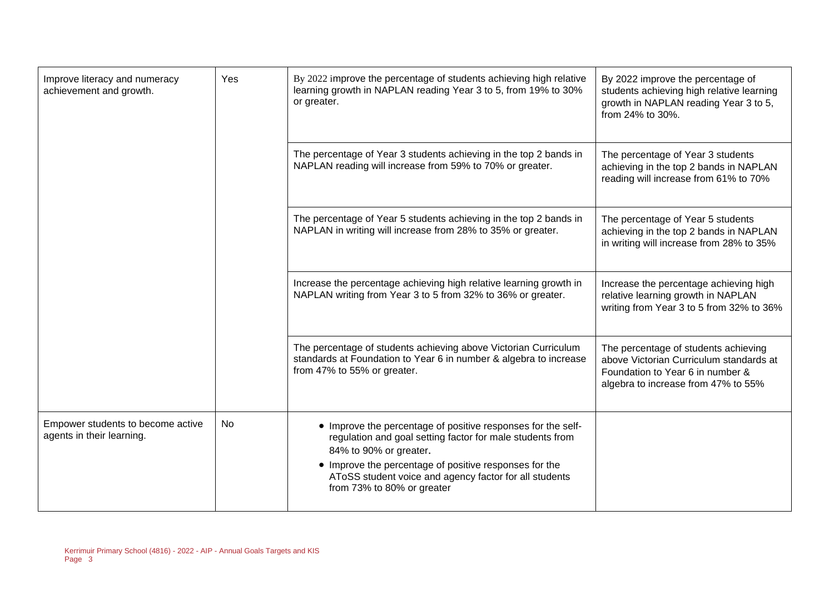| Improve literacy and numeracy<br>achievement and growth.       | Yes | By 2022 improve the percentage of students achieving high relative<br>learning growth in NAPLAN reading Year 3 to 5, from 19% to 30%<br>or greater.                                                                                                                                                   | By 2022 improve the percentage of<br>students achieving high relative learning<br>growth in NAPLAN reading Year 3 to 5,<br>from 24% to 30%.                |
|----------------------------------------------------------------|-----|-------------------------------------------------------------------------------------------------------------------------------------------------------------------------------------------------------------------------------------------------------------------------------------------------------|------------------------------------------------------------------------------------------------------------------------------------------------------------|
|                                                                |     | The percentage of Year 3 students achieving in the top 2 bands in<br>NAPLAN reading will increase from 59% to 70% or greater.                                                                                                                                                                         | The percentage of Year 3 students<br>achieving in the top 2 bands in NAPLAN<br>reading will increase from 61% to 70%                                       |
|                                                                |     | The percentage of Year 5 students achieving in the top 2 bands in<br>NAPLAN in writing will increase from 28% to 35% or greater.                                                                                                                                                                      | The percentage of Year 5 students<br>achieving in the top 2 bands in NAPLAN<br>in writing will increase from 28% to 35%                                    |
|                                                                |     | Increase the percentage achieving high relative learning growth in<br>NAPLAN writing from Year 3 to 5 from 32% to 36% or greater.                                                                                                                                                                     | Increase the percentage achieving high<br>relative learning growth in NAPLAN<br>writing from Year 3 to 5 from 32% to 36%                                   |
|                                                                |     | The percentage of students achieving above Victorian Curriculum<br>standards at Foundation to Year 6 in number & algebra to increase<br>from 47% to 55% or greater.                                                                                                                                   | The percentage of students achieving<br>above Victorian Curriculum standards at<br>Foundation to Year 6 in number &<br>algebra to increase from 47% to 55% |
| Empower students to become active<br>agents in their learning. | No  | • Improve the percentage of positive responses for the self-<br>regulation and goal setting factor for male students from<br>84% to 90% or greater.<br>• Improve the percentage of positive responses for the<br>AToSS student voice and agency factor for all students<br>from 73% to 80% or greater |                                                                                                                                                            |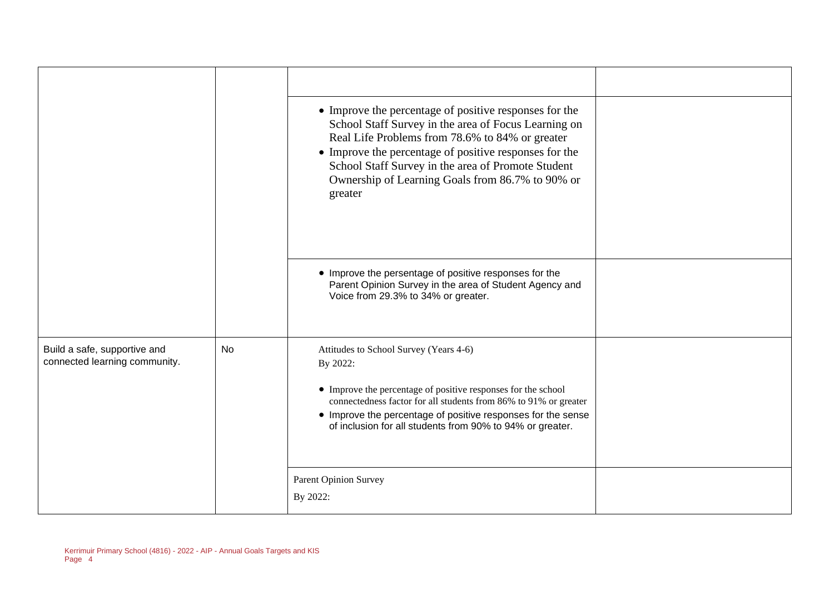|                                                               |           | • Improve the percentage of positive responses for the<br>School Staff Survey in the area of Focus Learning on<br>Real Life Problems from 78.6% to 84% or greater<br>• Improve the percentage of positive responses for the<br>School Staff Survey in the area of Promote Student<br>Ownership of Learning Goals from 86.7% to 90% or<br>greater |  |
|---------------------------------------------------------------|-----------|--------------------------------------------------------------------------------------------------------------------------------------------------------------------------------------------------------------------------------------------------------------------------------------------------------------------------------------------------|--|
|                                                               |           | • Improve the persentage of positive responses for the<br>Parent Opinion Survey in the area of Student Agency and<br>Voice from 29.3% to 34% or greater.                                                                                                                                                                                         |  |
| Build a safe, supportive and<br>connected learning community. | <b>No</b> | Attitudes to School Survey (Years 4-6)<br>By 2022:<br>• Improve the percentage of positive responses for the school<br>connectedness factor for all students from 86% to 91% or greater<br>• Improve the percentage of positive responses for the sense<br>of inclusion for all students from 90% to 94% or greater.                             |  |
|                                                               |           | <b>Parent Opinion Survey</b><br>By 2022:                                                                                                                                                                                                                                                                                                         |  |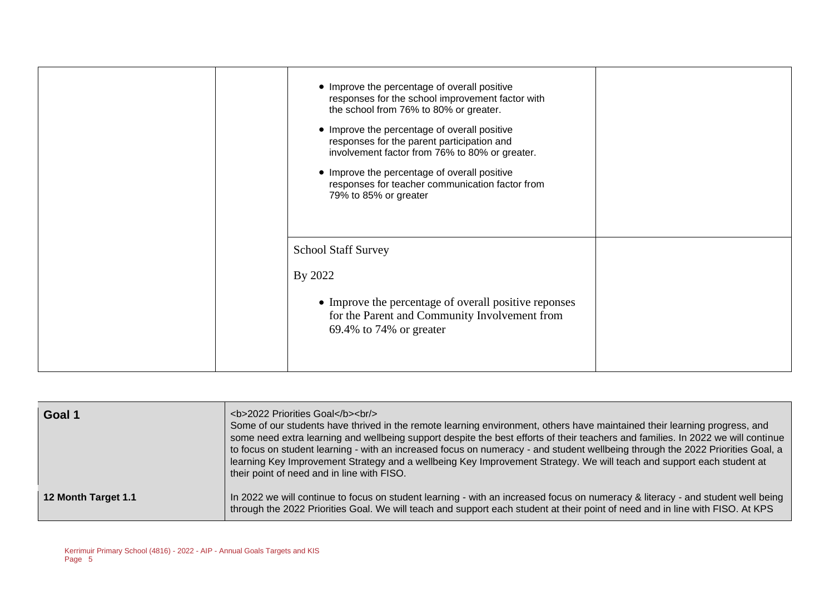| • Improve the percentage of overall positive<br>responses for the school improvement factor with<br>the school from 76% to 80% or greater.<br>• Improve the percentage of overall positive<br>responses for the parent participation and<br>involvement factor from 76% to 80% or greater.<br>• Improve the percentage of overall positive<br>responses for teacher communication factor from<br>79% to 85% or greater |  |
|------------------------------------------------------------------------------------------------------------------------------------------------------------------------------------------------------------------------------------------------------------------------------------------------------------------------------------------------------------------------------------------------------------------------|--|
| <b>School Staff Survey</b><br>By 2022<br>• Improve the percentage of overall positive reponses<br>for the Parent and Community Involvement from<br>69.4% to 74% or greater                                                                                                                                                                                                                                             |  |

| Goal 1              | <b>2022 Priorities Goal</b><br><br><br>Some of our students have thrived in the remote learning environment, others have maintained their learning progress, and<br>some need extra learning and wellbeing support despite the best efforts of their teachers and families. In 2022 we will continue<br>to focus on student learning - with an increased focus on numeracy - and student wellbeing through the 2022 Priorities Goal, a<br>learning Key Improvement Strategy and a wellbeing Key Improvement Strategy. We will teach and support each student at<br>their point of need and in line with FISO. |
|---------------------|---------------------------------------------------------------------------------------------------------------------------------------------------------------------------------------------------------------------------------------------------------------------------------------------------------------------------------------------------------------------------------------------------------------------------------------------------------------------------------------------------------------------------------------------------------------------------------------------------------------|
| 12 Month Target 1.1 | In 2022 we will continue to focus on student learning - with an increased focus on numeracy & literacy - and student well being<br>through the 2022 Priorities Goal. We will teach and support each student at their point of need and in line with FISO. At KPS                                                                                                                                                                                                                                                                                                                                              |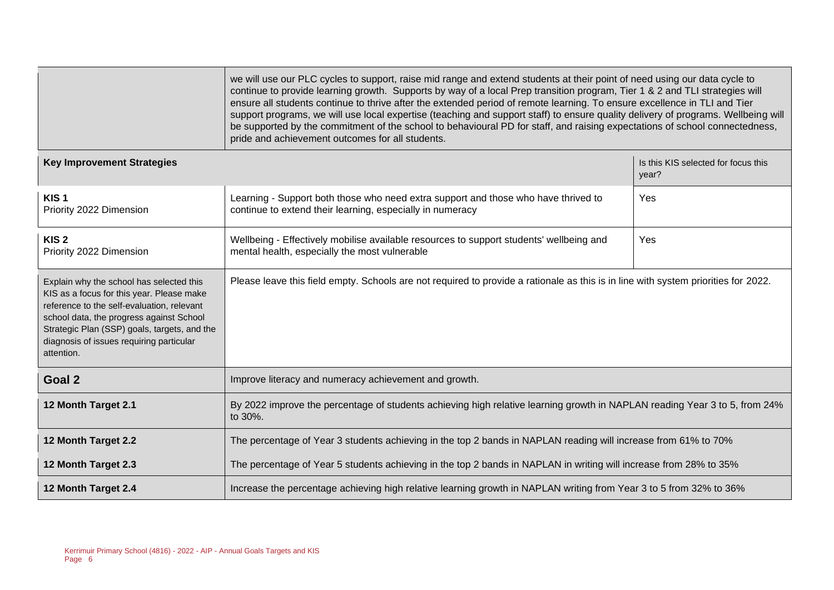|                                                                                                                                                                                                                                                                                           | we will use our PLC cycles to support, raise mid range and extend students at their point of need using our data cycle to<br>continue to provide learning growth. Supports by way of a local Prep transition program, Tier 1 & 2 and TLI strategies will<br>ensure all students continue to thrive after the extended period of remote learning. To ensure excellence in TLI and Tier<br>support programs, we will use local expertise (teaching and support staff) to ensure quality delivery of programs. Wellbeing will<br>be supported by the commitment of the school to behavioural PD for staff, and raising expectations of school connectedness,<br>pride and achievement outcomes for all students. |                                              |  |  |
|-------------------------------------------------------------------------------------------------------------------------------------------------------------------------------------------------------------------------------------------------------------------------------------------|---------------------------------------------------------------------------------------------------------------------------------------------------------------------------------------------------------------------------------------------------------------------------------------------------------------------------------------------------------------------------------------------------------------------------------------------------------------------------------------------------------------------------------------------------------------------------------------------------------------------------------------------------------------------------------------------------------------|----------------------------------------------|--|--|
| <b>Key Improvement Strategies</b>                                                                                                                                                                                                                                                         |                                                                                                                                                                                                                                                                                                                                                                                                                                                                                                                                                                                                                                                                                                               | Is this KIS selected for focus this<br>year? |  |  |
| KIS <sub>1</sub><br>Priority 2022 Dimension                                                                                                                                                                                                                                               | Learning - Support both those who need extra support and those who have thrived to<br>continue to extend their learning, especially in numeracy                                                                                                                                                                                                                                                                                                                                                                                                                                                                                                                                                               | Yes                                          |  |  |
| KIS <sub>2</sub><br>Priority 2022 Dimension                                                                                                                                                                                                                                               | Wellbeing - Effectively mobilise available resources to support students' wellbeing and<br>mental health, especially the most vulnerable                                                                                                                                                                                                                                                                                                                                                                                                                                                                                                                                                                      | Yes                                          |  |  |
| Explain why the school has selected this<br>KIS as a focus for this year. Please make<br>reference to the self-evaluation, relevant<br>school data, the progress against School<br>Strategic Plan (SSP) goals, targets, and the<br>diagnosis of issues requiring particular<br>attention. | Please leave this field empty. Schools are not required to provide a rationale as this is in line with system priorities for 2022.                                                                                                                                                                                                                                                                                                                                                                                                                                                                                                                                                                            |                                              |  |  |
| Goal 2                                                                                                                                                                                                                                                                                    | Improve literacy and numeracy achievement and growth.                                                                                                                                                                                                                                                                                                                                                                                                                                                                                                                                                                                                                                                         |                                              |  |  |
| 12 Month Target 2.1                                                                                                                                                                                                                                                                       | By 2022 improve the percentage of students achieving high relative learning growth in NAPLAN reading Year 3 to 5, from 24%<br>to 30%.                                                                                                                                                                                                                                                                                                                                                                                                                                                                                                                                                                         |                                              |  |  |
| 12 Month Target 2.2                                                                                                                                                                                                                                                                       | The percentage of Year 3 students achieving in the top 2 bands in NAPLAN reading will increase from 61% to 70%                                                                                                                                                                                                                                                                                                                                                                                                                                                                                                                                                                                                |                                              |  |  |
| 12 Month Target 2.3                                                                                                                                                                                                                                                                       | The percentage of Year 5 students achieving in the top 2 bands in NAPLAN in writing will increase from 28% to 35%                                                                                                                                                                                                                                                                                                                                                                                                                                                                                                                                                                                             |                                              |  |  |
| 12 Month Target 2.4                                                                                                                                                                                                                                                                       | Increase the percentage achieving high relative learning growth in NAPLAN writing from Year 3 to 5 from 32% to 36%                                                                                                                                                                                                                                                                                                                                                                                                                                                                                                                                                                                            |                                              |  |  |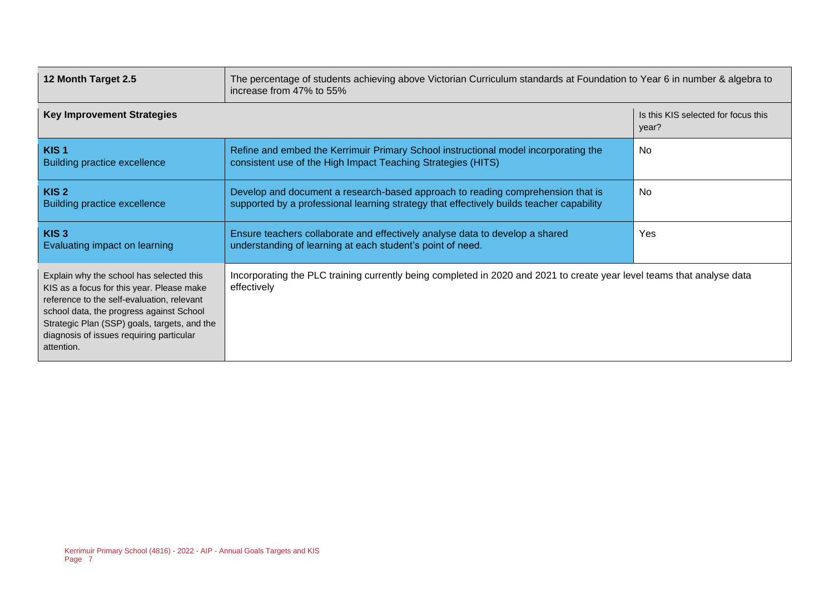| 12 Month Target 2.5<br>The percentage of students achieving above Victorian Curriculum standards at Foundation to Year 6 in number & algebra to<br>increase from 47% to 55%                                                                                                               |                                                                                                                                                                             |                                              |  |  |
|-------------------------------------------------------------------------------------------------------------------------------------------------------------------------------------------------------------------------------------------------------------------------------------------|-----------------------------------------------------------------------------------------------------------------------------------------------------------------------------|----------------------------------------------|--|--|
| <b>Key Improvement Strategies</b>                                                                                                                                                                                                                                                         |                                                                                                                                                                             | Is this KIS selected for focus this<br>year? |  |  |
| KIS <sub>1</sub><br>Building practice excellence                                                                                                                                                                                                                                          | Refine and embed the Kerrimuir Primary School instructional model incorporating the<br>consistent use of the High Impact Teaching Strategies (HITS)                         | No.                                          |  |  |
| KIS <sub>2</sub><br><b>Building practice excellence</b>                                                                                                                                                                                                                                   | Develop and document a research-based approach to reading comprehension that is<br>supported by a professional learning strategy that effectively builds teacher capability | No                                           |  |  |
| KIS <sub>3</sub><br>Evaluating impact on learning                                                                                                                                                                                                                                         | Ensure teachers collaborate and effectively analyse data to develop a shared<br>understanding of learning at each student's point of need.                                  | Yes                                          |  |  |
| Explain why the school has selected this<br>KIS as a focus for this year. Please make<br>reference to the self-evaluation, relevant<br>school data, the progress against School<br>Strategic Plan (SSP) goals, targets, and the<br>diagnosis of issues requiring particular<br>attention. | Incorporating the PLC training currently being completed in 2020 and 2021 to create year level teams that analyse data<br>effectively                                       |                                              |  |  |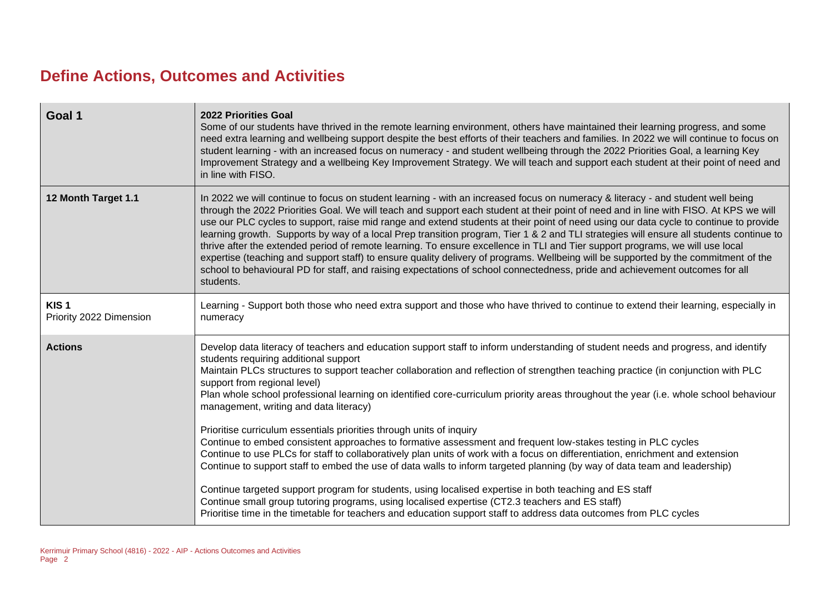# **Define Actions, Outcomes and Activities**

| Goal 1                                      | 2022 Priorities Goal<br>Some of our students have thrived in the remote learning environment, others have maintained their learning progress, and some<br>need extra learning and wellbeing support despite the best efforts of their teachers and families. In 2022 we will continue to focus on<br>student learning - with an increased focus on numeracy - and student wellbeing through the 2022 Priorities Goal, a learning Key<br>Improvement Strategy and a wellbeing Key Improvement Strategy. We will teach and support each student at their point of need and<br>in line with FISO.                                                                                                                                                                                                                                                                                                                                                                                             |
|---------------------------------------------|--------------------------------------------------------------------------------------------------------------------------------------------------------------------------------------------------------------------------------------------------------------------------------------------------------------------------------------------------------------------------------------------------------------------------------------------------------------------------------------------------------------------------------------------------------------------------------------------------------------------------------------------------------------------------------------------------------------------------------------------------------------------------------------------------------------------------------------------------------------------------------------------------------------------------------------------------------------------------------------------|
| 12 Month Target 1.1                         | In 2022 we will continue to focus on student learning - with an increased focus on numeracy & literacy - and student well being<br>through the 2022 Priorities Goal. We will teach and support each student at their point of need and in line with FISO. At KPS we will<br>use our PLC cycles to support, raise mid range and extend students at their point of need using our data cycle to continue to provide<br>learning growth. Supports by way of a local Prep transition program, Tier 1 & 2 and TLI strategies will ensure all students continue to<br>thrive after the extended period of remote learning. To ensure excellence in TLI and Tier support programs, we will use local<br>expertise (teaching and support staff) to ensure quality delivery of programs. Wellbeing will be supported by the commitment of the<br>school to behavioural PD for staff, and raising expectations of school connectedness, pride and achievement outcomes for all<br>students.          |
| KIS <sub>1</sub><br>Priority 2022 Dimension | Learning - Support both those who need extra support and those who have thrived to continue to extend their learning, especially in<br>numeracy                                                                                                                                                                                                                                                                                                                                                                                                                                                                                                                                                                                                                                                                                                                                                                                                                                            |
| <b>Actions</b>                              | Develop data literacy of teachers and education support staff to inform understanding of student needs and progress, and identify<br>students requiring additional support<br>Maintain PLCs structures to support teacher collaboration and reflection of strengthen teaching practice (in conjunction with PLC<br>support from regional level)<br>Plan whole school professional learning on identified core-curriculum priority areas throughout the year (i.e. whole school behaviour<br>management, writing and data literacy)<br>Prioritise curriculum essentials priorities through units of inquiry<br>Continue to embed consistent approaches to formative assessment and frequent low-stakes testing in PLC cycles<br>Continue to use PLCs for staff to collaboratively plan units of work with a focus on differentiation, enrichment and extension<br>Continue to support staff to embed the use of data walls to inform targeted planning (by way of data team and leadership) |
|                                             | Continue targeted support program for students, using localised expertise in both teaching and ES staff<br>Continue small group tutoring programs, using localised expertise (CT2.3 teachers and ES staff)<br>Prioritise time in the timetable for teachers and education support staff to address data outcomes from PLC cycles                                                                                                                                                                                                                                                                                                                                                                                                                                                                                                                                                                                                                                                           |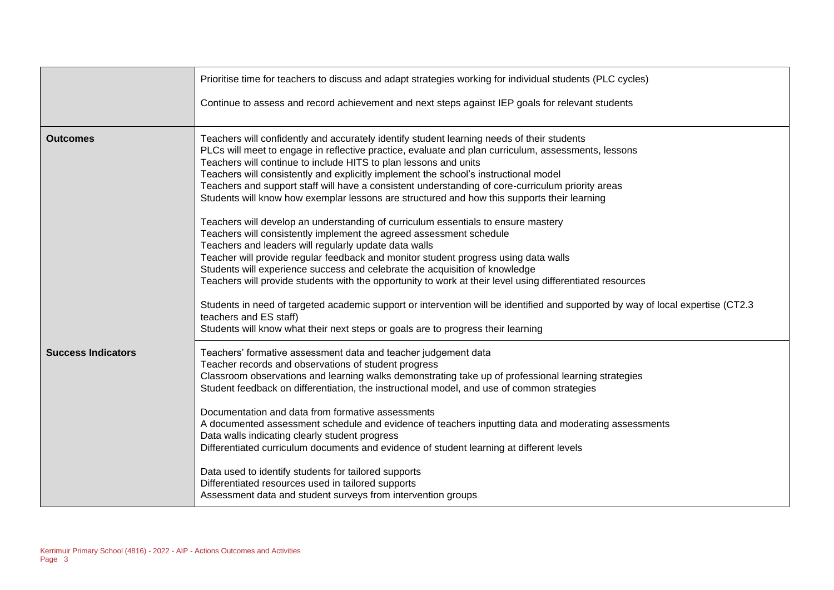|                           | Prioritise time for teachers to discuss and adapt strategies working for individual students (PLC cycles)                                                                                                                                                                                                                                                                                                                                                                                                                                                                                                                                                                                                                                                                                                                                                                                                                                                                                                                                                                                                                                                                                                                                                                                                                  |
|---------------------------|----------------------------------------------------------------------------------------------------------------------------------------------------------------------------------------------------------------------------------------------------------------------------------------------------------------------------------------------------------------------------------------------------------------------------------------------------------------------------------------------------------------------------------------------------------------------------------------------------------------------------------------------------------------------------------------------------------------------------------------------------------------------------------------------------------------------------------------------------------------------------------------------------------------------------------------------------------------------------------------------------------------------------------------------------------------------------------------------------------------------------------------------------------------------------------------------------------------------------------------------------------------------------------------------------------------------------|
|                           | Continue to assess and record achievement and next steps against IEP goals for relevant students                                                                                                                                                                                                                                                                                                                                                                                                                                                                                                                                                                                                                                                                                                                                                                                                                                                                                                                                                                                                                                                                                                                                                                                                                           |
| <b>Outcomes</b>           | Teachers will confidently and accurately identify student learning needs of their students<br>PLCs will meet to engage in reflective practice, evaluate and plan curriculum, assessments, lessons<br>Teachers will continue to include HITS to plan lessons and units<br>Teachers will consistently and explicitly implement the school's instructional model<br>Teachers and support staff will have a consistent understanding of core-curriculum priority areas<br>Students will know how exemplar lessons are structured and how this supports their learning<br>Teachers will develop an understanding of curriculum essentials to ensure mastery<br>Teachers will consistently implement the agreed assessment schedule<br>Teachers and leaders will regularly update data walls<br>Teacher will provide regular feedback and monitor student progress using data walls<br>Students will experience success and celebrate the acquisition of knowledge<br>Teachers will provide students with the opportunity to work at their level using differentiated resources<br>Students in need of targeted academic support or intervention will be identified and supported by way of local expertise (CT2.3<br>teachers and ES staff)<br>Students will know what their next steps or goals are to progress their learning |
| <b>Success Indicators</b> | Teachers' formative assessment data and teacher judgement data<br>Teacher records and observations of student progress<br>Classroom observations and learning walks demonstrating take up of professional learning strategies<br>Student feedback on differentiation, the instructional model, and use of common strategies<br>Documentation and data from formative assessments<br>A documented assessment schedule and evidence of teachers inputting data and moderating assessments<br>Data walls indicating clearly student progress<br>Differentiated curriculum documents and evidence of student learning at different levels<br>Data used to identify students for tailored supports<br>Differentiated resources used in tailored supports<br>Assessment data and student surveys from intervention groups                                                                                                                                                                                                                                                                                                                                                                                                                                                                                                        |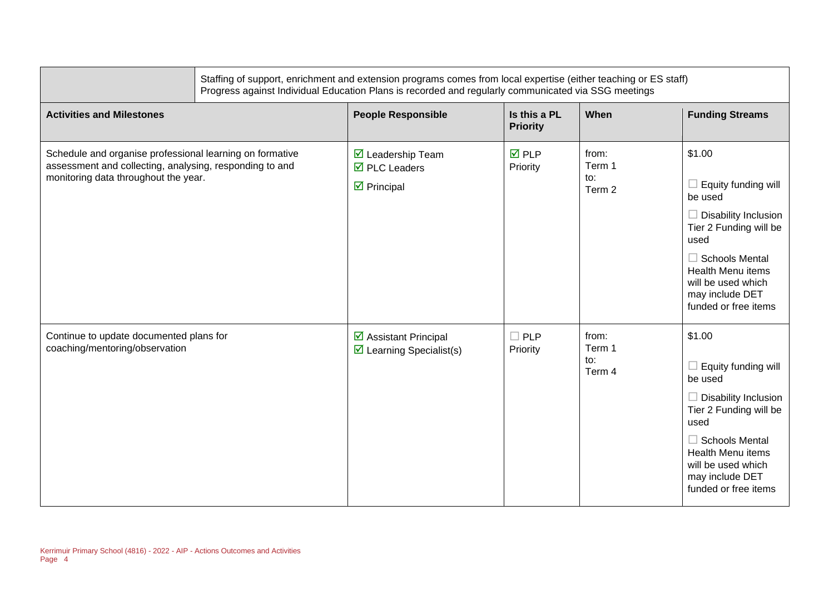|                                                                                                                                                             | Staffing of support, enrichment and extension programs comes from local expertise (either teaching or ES staff)<br>Progress against Individual Education Plans is recorded and regularly communicated via SSG meetings |                                                                                                      |                                 |                                  |                                                                                                                                                                                                                                      |
|-------------------------------------------------------------------------------------------------------------------------------------------------------------|------------------------------------------------------------------------------------------------------------------------------------------------------------------------------------------------------------------------|------------------------------------------------------------------------------------------------------|---------------------------------|----------------------------------|--------------------------------------------------------------------------------------------------------------------------------------------------------------------------------------------------------------------------------------|
| <b>Activities and Milestones</b>                                                                                                                            |                                                                                                                                                                                                                        | <b>People Responsible</b>                                                                            | Is this a PL<br><b>Priority</b> | When                             | <b>Funding Streams</b>                                                                                                                                                                                                               |
| Schedule and organise professional learning on formative<br>assessment and collecting, analysing, responding to and<br>monitoring data throughout the year. |                                                                                                                                                                                                                        | $\triangleright$ Leadership Team<br>$\overline{\boxtimes}$ PLC Leaders<br>$\triangleright$ Principal | $\overline{M}$ PLP<br>Priority  | from:<br>Term 1<br>to:<br>Term 2 | \$1.00<br>$\Box$ Equity funding will<br>be used<br><b>Disability Inclusion</b><br>Tier 2 Funding will be<br>used<br>п<br><b>Schools Mental</b><br>Health Menu items<br>will be used which<br>may include DET<br>funded or free items |
| Continue to update documented plans for<br>coaching/mentoring/observation                                                                                   |                                                                                                                                                                                                                        | $\triangleright$ Assistant Principal<br>$\triangleright$ Learning Specialist(s)                      | $\Box$ PLP<br>Priority          | from:<br>Term 1<br>to:<br>Term 4 | \$1.00<br>$\Box$ Equity funding will<br>be used<br>Disability Inclusion<br>Tier 2 Funding will be<br>used<br>$\Box$ Schools Mental<br><b>Health Menu items</b><br>will be used which<br>may include DET<br>funded or free items      |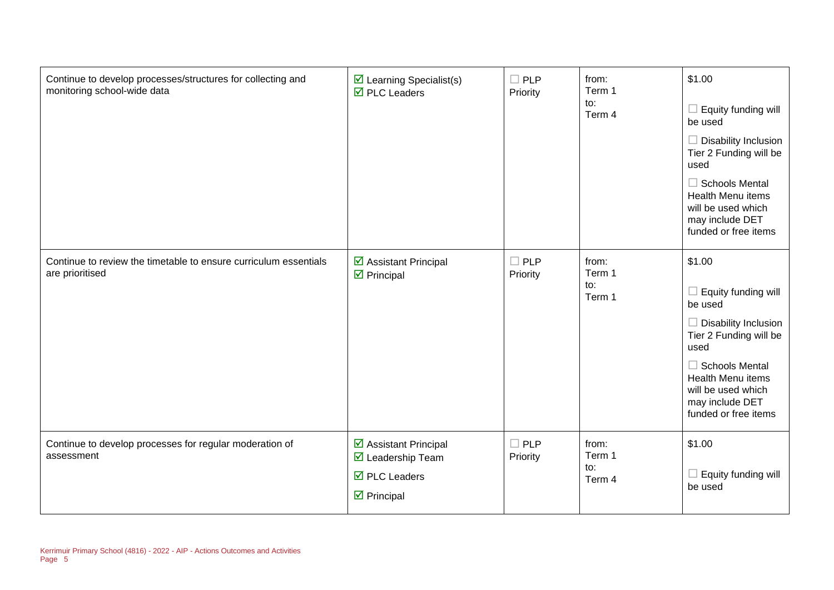| Continue to develop processes/structures for collecting and<br>monitoring school-wide data | $\triangleright$ Learning Specialist(s)<br>$\overline{\mathbf{M}}$ PLC Leaders                                               | $\Box$ PLP<br>Priority | from:<br>Term 1<br>to:<br>Term 4 | \$1.00<br>$\Box$ Equity funding will<br>be used<br>$\Box$ Disability Inclusion<br>Tier 2 Funding will be<br>used<br>$\Box$ Schools Mental<br>Health Menu items<br>will be used which<br>may include DET<br>funded or free items |
|--------------------------------------------------------------------------------------------|------------------------------------------------------------------------------------------------------------------------------|------------------------|----------------------------------|---------------------------------------------------------------------------------------------------------------------------------------------------------------------------------------------------------------------------------|
| Continue to review the timetable to ensure curriculum essentials<br>are prioritised        | ☑ Assistant Principal<br>$\triangleright$ Principal                                                                          | $\Box$ PLP<br>Priority | from:<br>Term 1<br>to:<br>Term 1 | \$1.00<br>$\Box$ Equity funding will<br>be used<br>$\Box$ Disability Inclusion<br>Tier 2 Funding will be<br>used<br>$\Box$ Schools Mental<br>Health Menu items<br>will be used which<br>may include DET<br>funded or free items |
| Continue to develop processes for regular moderation of<br>assessment                      | ☑ Assistant Principal<br>$\overline{\mathbf{M}}$ Leadership Team<br>$\triangledown$ PLC Leaders<br>$\triangledown$ Principal | $\Box$ PLP<br>Priority | from:<br>Term 1<br>to:<br>Term 4 | \$1.00<br>$\Box$ Equity funding will<br>be used                                                                                                                                                                                 |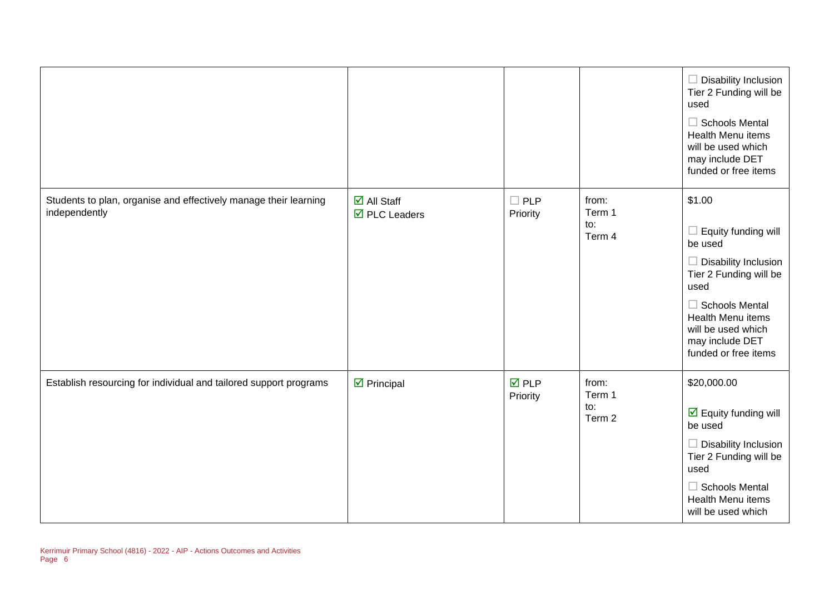|                                                                                   |                                                                         |                           |                                  | $\Box$ Disability Inclusion<br>Tier 2 Funding will be<br>used<br>$\Box$ Schools Mental<br>Health Menu items<br>will be used which<br>may include DET<br>funded or free items                                                    |
|-----------------------------------------------------------------------------------|-------------------------------------------------------------------------|---------------------------|----------------------------------|---------------------------------------------------------------------------------------------------------------------------------------------------------------------------------------------------------------------------------|
| Students to plan, organise and effectively manage their learning<br>independently | $\overline{\mathbf{M}}$ All Staff<br>$\overline{\boxtimes}$ PLC Leaders | $\square$ PLP<br>Priority | from:<br>Term 1<br>to:<br>Term 4 | \$1.00<br>$\Box$ Equity funding will<br>be used<br>$\Box$ Disability Inclusion<br>Tier 2 Funding will be<br>used<br>$\Box$ Schools Mental<br>Health Menu items<br>will be used which<br>may include DET<br>funded or free items |
| Establish resourcing for individual and tailored support programs                 | $\triangleright$ Principal                                              | $\nabla$ PLP<br>Priority  | from:<br>Term 1<br>to:<br>Term 2 | \$20,000.00<br>$\overline{\mathbf{y}}$ Equity funding will<br>be used<br>$\Box$ Disability Inclusion<br>Tier 2 Funding will be<br>used<br>$\Box$ Schools Mental<br>Health Menu items<br>will be used which                      |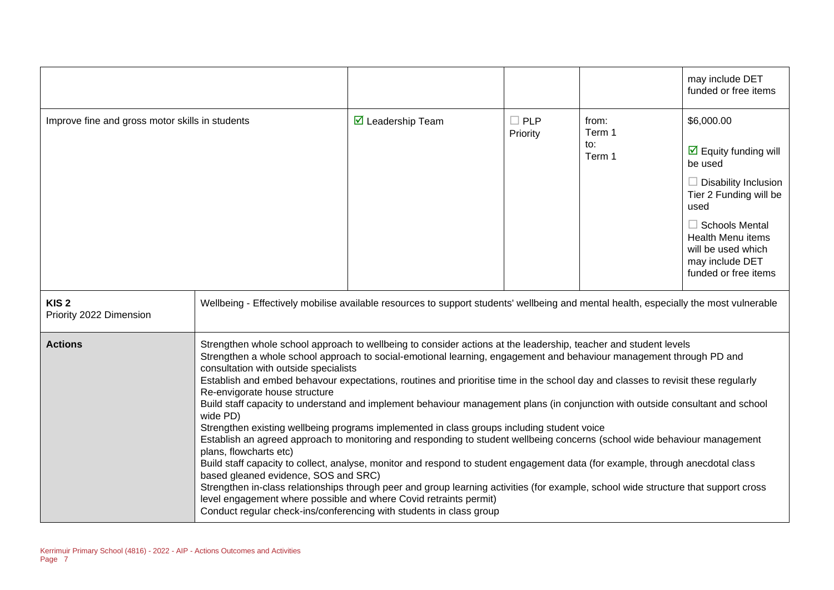|                                                 |                                                                                                                                                                                                                                                                                                                                                                                                                                                                                                                                                                                                                                                                                                                                                                                                                                                                                                                                                                                                                                                                                                                                                                                                                                                                                                                      |                   |                        |                                  | may include DET<br>funded or free items                                                                                                                                                                                                       |
|-------------------------------------------------|----------------------------------------------------------------------------------------------------------------------------------------------------------------------------------------------------------------------------------------------------------------------------------------------------------------------------------------------------------------------------------------------------------------------------------------------------------------------------------------------------------------------------------------------------------------------------------------------------------------------------------------------------------------------------------------------------------------------------------------------------------------------------------------------------------------------------------------------------------------------------------------------------------------------------------------------------------------------------------------------------------------------------------------------------------------------------------------------------------------------------------------------------------------------------------------------------------------------------------------------------------------------------------------------------------------------|-------------------|------------------------|----------------------------------|-----------------------------------------------------------------------------------------------------------------------------------------------------------------------------------------------------------------------------------------------|
| Improve fine and gross motor skills in students |                                                                                                                                                                                                                                                                                                                                                                                                                                                                                                                                                                                                                                                                                                                                                                                                                                                                                                                                                                                                                                                                                                                                                                                                                                                                                                                      | ◘ Leadership Team | $\Box$ PLP<br>Priority | from:<br>Term 1<br>to:<br>Term 1 | \$6,000.00<br>$\triangleright$ Equity funding will<br>be used<br>Disability Inclusion<br>Tier 2 Funding will be<br>used<br>$\Box$ Schools Mental<br><b>Health Menu items</b><br>will be used which<br>may include DET<br>funded or free items |
| KIS <sub>2</sub><br>Priority 2022 Dimension     | Wellbeing - Effectively mobilise available resources to support students' wellbeing and mental health, especially the most vulnerable                                                                                                                                                                                                                                                                                                                                                                                                                                                                                                                                                                                                                                                                                                                                                                                                                                                                                                                                                                                                                                                                                                                                                                                |                   |                        |                                  |                                                                                                                                                                                                                                               |
| <b>Actions</b>                                  | Strengthen whole school approach to wellbeing to consider actions at the leadership, teacher and student levels<br>Strengthen a whole school approach to social-emotional learning, engagement and behaviour management through PD and<br>consultation with outside specialists<br>Establish and embed behavour expectations, routines and prioritise time in the school day and classes to revisit these regularly<br>Re-envigorate house structure<br>Build staff capacity to understand and implement behaviour management plans (in conjunction with outside consultant and school<br>wide PD)<br>Strengthen existing wellbeing programs implemented in class groups including student voice<br>Establish an agreed approach to monitoring and responding to student wellbeing concerns (school wide behaviour management<br>plans, flowcharts etc)<br>Build staff capacity to collect, analyse, monitor and respond to student engagement data (for example, through anecdotal class<br>based gleaned evidence, SOS and SRC)<br>Strengthen in-class relationships through peer and group learning activities (for example, school wide structure that support cross<br>level engagement where possible and where Covid retraints permit)<br>Conduct regular check-ins/conferencing with students in class group |                   |                        |                                  |                                                                                                                                                                                                                                               |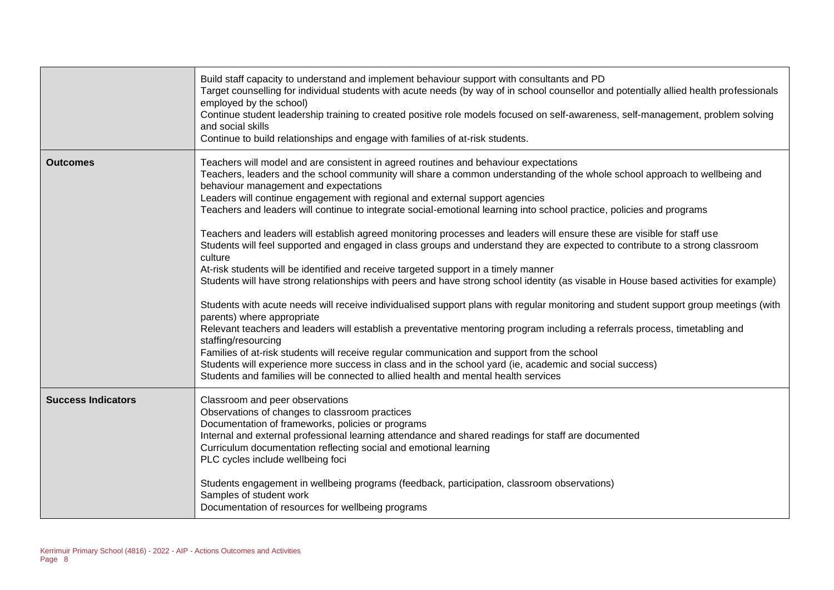|                           | Build staff capacity to understand and implement behaviour support with consultants and PD<br>Target counselling for individual students with acute needs (by way of in school counsellor and potentially allied health professionals<br>employed by the school)<br>Continue student leadership training to created positive role models focused on self-awareness, self-management, problem solving<br>and social skills<br>Continue to build relationships and engage with families of at-risk students.                                                                                                                                                                                                                                                                                                                                                                                                                                                                                                                                                                                                                                                                                                                                                                                                                                                                                                                                                                                                                                                                                                |
|---------------------------|-----------------------------------------------------------------------------------------------------------------------------------------------------------------------------------------------------------------------------------------------------------------------------------------------------------------------------------------------------------------------------------------------------------------------------------------------------------------------------------------------------------------------------------------------------------------------------------------------------------------------------------------------------------------------------------------------------------------------------------------------------------------------------------------------------------------------------------------------------------------------------------------------------------------------------------------------------------------------------------------------------------------------------------------------------------------------------------------------------------------------------------------------------------------------------------------------------------------------------------------------------------------------------------------------------------------------------------------------------------------------------------------------------------------------------------------------------------------------------------------------------------------------------------------------------------------------------------------------------------|
| <b>Outcomes</b>           | Teachers will model and are consistent in agreed routines and behaviour expectations<br>Teachers, leaders and the school community will share a common understanding of the whole school approach to wellbeing and<br>behaviour management and expectations<br>Leaders will continue engagement with regional and external support agencies<br>Teachers and leaders will continue to integrate social-emotional learning into school practice, policies and programs<br>Teachers and leaders will establish agreed monitoring processes and leaders will ensure these are visible for staff use<br>Students will feel supported and engaged in class groups and understand they are expected to contribute to a strong classroom<br>culture<br>At-risk students will be identified and receive targeted support in a timely manner<br>Students will have strong relationships with peers and have strong school identity (as visable in House based activities for example)<br>Students with acute needs will receive individualised support plans with regular monitoring and student support group meetings (with<br>parents) where appropriate<br>Relevant teachers and leaders will establish a preventative mentoring program including a referrals process, timetabling and<br>staffing/resourcing<br>Families of at-risk students will receive regular communication and support from the school<br>Students will experience more success in class and in the school yard (ie, academic and social success)<br>Students and families will be connected to allied health and mental health services |
| <b>Success Indicators</b> | Classroom and peer observations<br>Observations of changes to classroom practices<br>Documentation of frameworks, policies or programs<br>Internal and external professional learning attendance and shared readings for staff are documented<br>Curriculum documentation reflecting social and emotional learning<br>PLC cycles include wellbeing foci<br>Students engagement in wellbeing programs (feedback, participation, classroom observations)<br>Samples of student work<br>Documentation of resources for wellbeing programs                                                                                                                                                                                                                                                                                                                                                                                                                                                                                                                                                                                                                                                                                                                                                                                                                                                                                                                                                                                                                                                                    |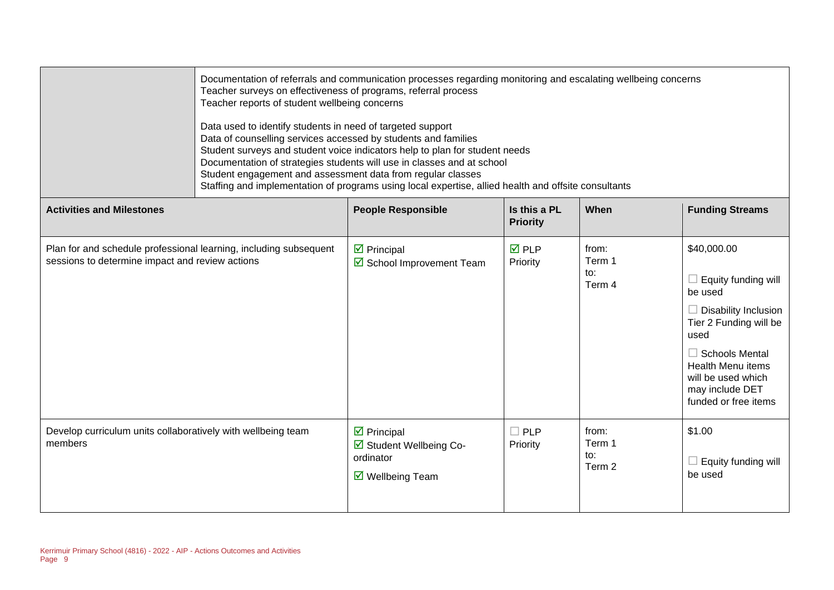|                                                                                                                      | Documentation of referrals and communication processes regarding monitoring and escalating wellbeing concerns<br>Teacher surveys on effectiveness of programs, referral process<br>Teacher reports of student wellbeing concerns<br>Data used to identify students in need of targeted support<br>Data of counselling services accessed by students and families<br>Student surveys and student voice indicators help to plan for student needs<br>Documentation of strategies students will use in classes and at school<br>Student engagement and assessment data from regular classes<br>Staffing and implementation of programs using local expertise, allied health and offsite consultants |                                                                                                            |                                 |                                  |                                                                                                                                                                                                                                             |
|----------------------------------------------------------------------------------------------------------------------|--------------------------------------------------------------------------------------------------------------------------------------------------------------------------------------------------------------------------------------------------------------------------------------------------------------------------------------------------------------------------------------------------------------------------------------------------------------------------------------------------------------------------------------------------------------------------------------------------------------------------------------------------------------------------------------------------|------------------------------------------------------------------------------------------------------------|---------------------------------|----------------------------------|---------------------------------------------------------------------------------------------------------------------------------------------------------------------------------------------------------------------------------------------|
| <b>Activities and Milestones</b>                                                                                     |                                                                                                                                                                                                                                                                                                                                                                                                                                                                                                                                                                                                                                                                                                  | <b>People Responsible</b>                                                                                  | Is this a PL<br><b>Priority</b> | When                             | <b>Funding Streams</b>                                                                                                                                                                                                                      |
| Plan for and schedule professional learning, including subsequent<br>sessions to determine impact and review actions |                                                                                                                                                                                                                                                                                                                                                                                                                                                                                                                                                                                                                                                                                                  | $\triangleright$ Principal<br>School Improvement Team                                                      | $\overline{M}$ PLP<br>Priority  | from:<br>Term 1<br>to:<br>Term 4 | \$40,000.00<br>$\Box$ Equity funding will<br>be used<br>$\Box$ Disability Inclusion<br>Tier 2 Funding will be<br>used<br>$\Box$ Schools Mental<br><b>Health Menu items</b><br>will be used which<br>may include DET<br>funded or free items |
| Develop curriculum units collaboratively with wellbeing team<br>members                                              |                                                                                                                                                                                                                                                                                                                                                                                                                                                                                                                                                                                                                                                                                                  | $\triangleright$ Principal<br>Student Wellbeing Co-<br>ordinator<br>$\overline{\mathbf{M}}$ Wellbeing Team | $\Box$ PLP<br>Priority          | from:<br>Term 1<br>to:<br>Term 2 | \$1.00<br>$\Box$ Equity funding will<br>be used                                                                                                                                                                                             |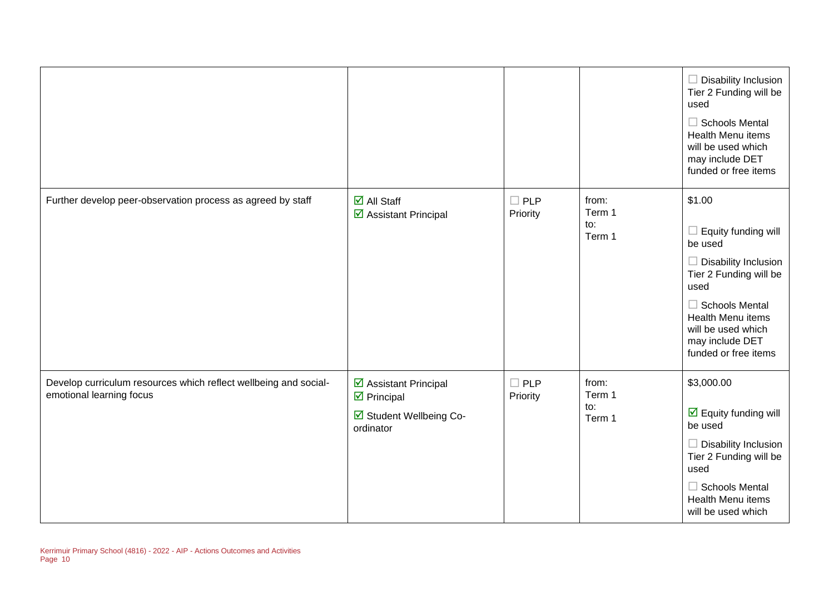|                                                                                              |                                                                                             |                        |                                  | $\Box$ Disability Inclusion<br>Tier 2 Funding will be<br>used<br>$\Box$ Schools Mental<br>Health Menu items<br>will be used which<br>may include DET<br>funded or free items                                                           |
|----------------------------------------------------------------------------------------------|---------------------------------------------------------------------------------------------|------------------------|----------------------------------|----------------------------------------------------------------------------------------------------------------------------------------------------------------------------------------------------------------------------------------|
| Further develop peer-observation process as agreed by staff                                  | $\overline{\mathsf{M}}$ All Staff<br>☑ Assistant Principal                                  | $\Box$ PLP<br>Priority | from:<br>Term 1<br>to:<br>Term 1 | \$1.00<br>$\Box$ Equity funding will<br>be used<br>$\Box$ Disability Inclusion<br>Tier 2 Funding will be<br>used<br>$\Box$ Schools Mental<br><b>Health Menu items</b><br>will be used which<br>may include DET<br>funded or free items |
| Develop curriculum resources which reflect wellbeing and social-<br>emotional learning focus | ☑ Assistant Principal<br>$\triangleright$ Principal<br>☑ Student Wellbeing Co-<br>ordinator | $\Box$ PLP<br>Priority | from:<br>Term 1<br>to:<br>Term 1 | \$3,000.00<br>$\triangleright$ Equity funding will<br>be used<br>$\Box$ Disability Inclusion<br>Tier 2 Funding will be<br>used<br>$\Box$ Schools Mental<br>Health Menu items<br>will be used which                                     |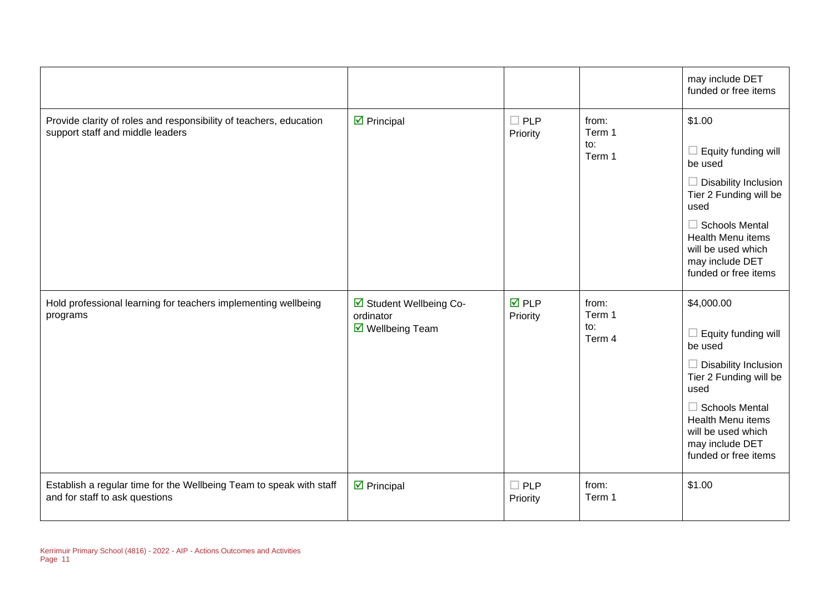|                                                                                                        |                                                                        |                                |                                  | may include DET<br>funded or free items                                                                                                                                                                                                    |
|--------------------------------------------------------------------------------------------------------|------------------------------------------------------------------------|--------------------------------|----------------------------------|--------------------------------------------------------------------------------------------------------------------------------------------------------------------------------------------------------------------------------------------|
| Provide clarity of roles and responsibility of teachers, education<br>support staff and middle leaders | $\triangleright$ Principal                                             | $\square$ PLP<br>Priority      | from:<br>Term 1<br>to:<br>Term 1 | \$1.00<br>$\Box$ Equity funding will<br>be used<br>$\Box$ Disability Inclusion<br>Tier 2 Funding will be<br>used<br>$\Box$ Schools Mental<br><b>Health Menu items</b><br>will be used which<br>may include DET<br>funded or free items     |
| Hold professional learning for teachers implementing wellbeing<br>programs                             | ☑ Student Wellbeing Co-<br>ordinator<br>$\triangledown$ Wellbeing Team | $\overline{M}$ PLP<br>Priority | from:<br>Term 1<br>to:<br>Term 4 | \$4,000.00<br>$\Box$ Equity funding will<br>be used<br>$\Box$ Disability Inclusion<br>Tier 2 Funding will be<br>used<br>$\Box$ Schools Mental<br><b>Health Menu items</b><br>will be used which<br>may include DET<br>funded or free items |
| Establish a regular time for the Wellbeing Team to speak with staff<br>and for staff to ask questions  | $\triangleright$ Principal                                             | $\square$ PLP<br>Priority      | from:<br>Term 1                  | \$1.00                                                                                                                                                                                                                                     |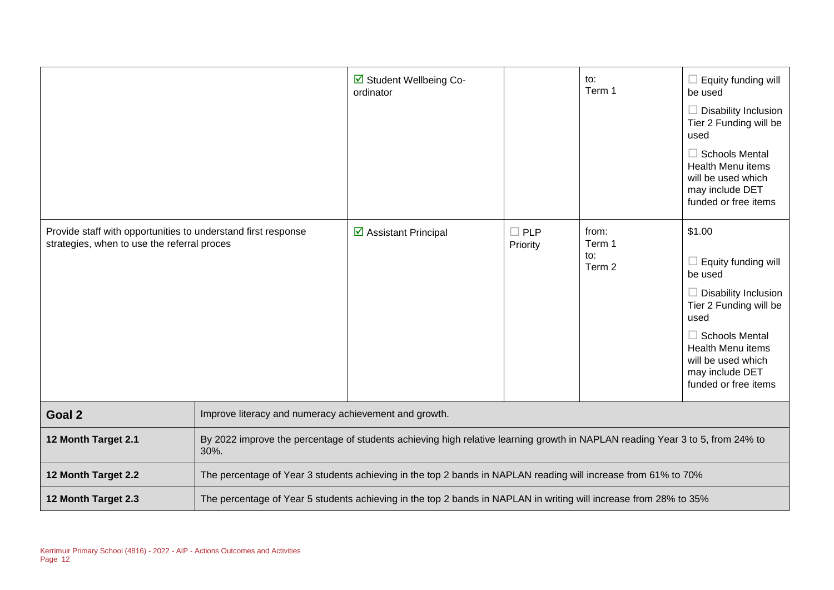|                                                                                                              |                                                                                                                                       | ☑ Student Wellbeing Co-<br>ordinator |                           | to:<br>Term 1                    | $\Box$ Equity funding will<br>be used<br>$\Box$ Disability Inclusion<br>Tier 2 Funding will be<br>used<br>$\Box$ Schools Mental<br><b>Health Menu items</b><br>will be used which<br>may include DET<br>funded or free items           |
|--------------------------------------------------------------------------------------------------------------|---------------------------------------------------------------------------------------------------------------------------------------|--------------------------------------|---------------------------|----------------------------------|----------------------------------------------------------------------------------------------------------------------------------------------------------------------------------------------------------------------------------------|
| Provide staff with opportunities to understand first response<br>strategies, when to use the referral proces |                                                                                                                                       | ☑ Assistant Principal                | $\square$ PLP<br>Priority | from:<br>Term 1<br>to:<br>Term 2 | \$1.00<br>$\Box$ Equity funding will<br>be used<br>$\Box$ Disability Inclusion<br>Tier 2 Funding will be<br>used<br>$\Box$ Schools Mental<br><b>Health Menu items</b><br>will be used which<br>may include DET<br>funded or free items |
| Goal 2                                                                                                       | Improve literacy and numeracy achievement and growth.                                                                                 |                                      |                           |                                  |                                                                                                                                                                                                                                        |
| 12 Month Target 2.1                                                                                          | By 2022 improve the percentage of students achieving high relative learning growth in NAPLAN reading Year 3 to 5, from 24% to<br>30%. |                                      |                           |                                  |                                                                                                                                                                                                                                        |
| 12 Month Target 2.2                                                                                          | The percentage of Year 3 students achieving in the top 2 bands in NAPLAN reading will increase from 61% to 70%                        |                                      |                           |                                  |                                                                                                                                                                                                                                        |
| 12 Month Target 2.3                                                                                          | The percentage of Year 5 students achieving in the top 2 bands in NAPLAN in writing will increase from 28% to 35%                     |                                      |                           |                                  |                                                                                                                                                                                                                                        |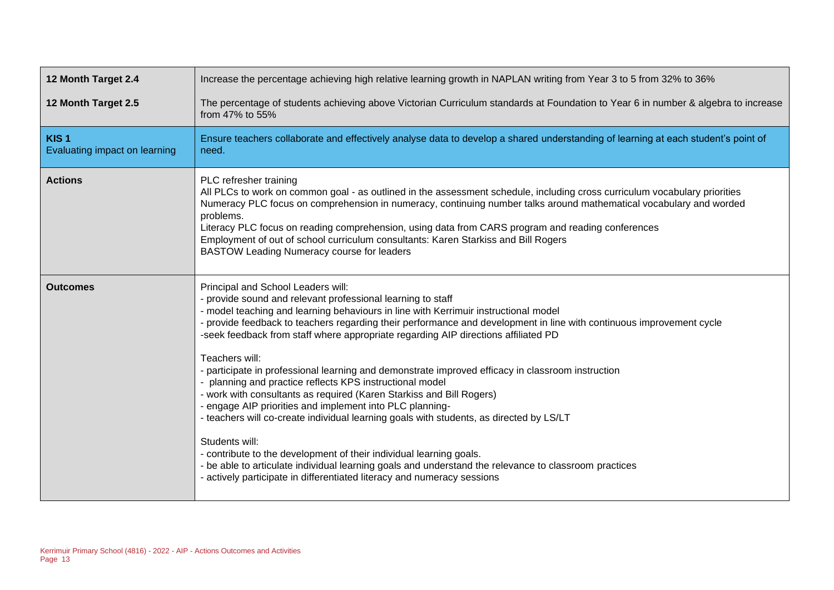| 12 Month Target 2.4                               | Increase the percentage achieving high relative learning growth in NAPLAN writing from Year 3 to 5 from 32% to 36%                                                                                                                                                                                                                                                                                                                                                                                                                                                                                                                                                                                                                                                                                                                                                                                                                                                                                                                                                                                    |
|---------------------------------------------------|-------------------------------------------------------------------------------------------------------------------------------------------------------------------------------------------------------------------------------------------------------------------------------------------------------------------------------------------------------------------------------------------------------------------------------------------------------------------------------------------------------------------------------------------------------------------------------------------------------------------------------------------------------------------------------------------------------------------------------------------------------------------------------------------------------------------------------------------------------------------------------------------------------------------------------------------------------------------------------------------------------------------------------------------------------------------------------------------------------|
| 12 Month Target 2.5                               | The percentage of students achieving above Victorian Curriculum standards at Foundation to Year 6 in number & algebra to increase<br>from 47% to 55%                                                                                                                                                                                                                                                                                                                                                                                                                                                                                                                                                                                                                                                                                                                                                                                                                                                                                                                                                  |
| KIS <sub>1</sub><br>Evaluating impact on learning | Ensure teachers collaborate and effectively analyse data to develop a shared understanding of learning at each student's point of<br>need.                                                                                                                                                                                                                                                                                                                                                                                                                                                                                                                                                                                                                                                                                                                                                                                                                                                                                                                                                            |
| <b>Actions</b>                                    | PLC refresher training<br>All PLCs to work on common goal - as outlined in the assessment schedule, including cross curriculum vocabulary priorities<br>Numeracy PLC focus on comprehension in numeracy, continuing number talks around mathematical vocabulary and worded<br>problems.<br>Literacy PLC focus on reading comprehension, using data from CARS program and reading conferences<br>Employment of out of school curriculum consultants: Karen Starkiss and Bill Rogers<br><b>BASTOW Leading Numeracy course for leaders</b>                                                                                                                                                                                                                                                                                                                                                                                                                                                                                                                                                               |
| <b>Outcomes</b>                                   | Principal and School Leaders will:<br>- provide sound and relevant professional learning to staff<br>- model teaching and learning behaviours in line with Kerrimuir instructional model<br>- provide feedback to teachers regarding their performance and development in line with continuous improvement cycle<br>-seek feedback from staff where appropriate regarding AIP directions affiliated PD<br>Teachers will:<br>- participate in professional learning and demonstrate improved efficacy in classroom instruction<br>- planning and practice reflects KPS instructional model<br>- work with consultants as required (Karen Starkiss and Bill Rogers)<br>- engage AIP priorities and implement into PLC planning-<br>- teachers will co-create individual learning goals with students, as directed by LS/LT<br>Students will:<br>- contribute to the development of their individual learning goals.<br>- be able to articulate individual learning goals and understand the relevance to classroom practices<br>- actively participate in differentiated literacy and numeracy sessions |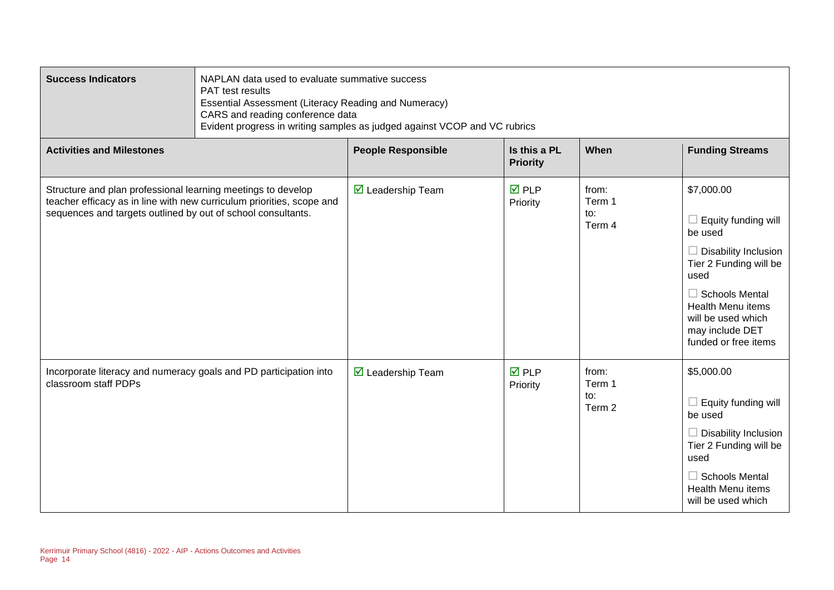| <b>Success Indicators</b>                                                                                                                                                                             | NAPLAN data used to evaluate summative success<br><b>PAT</b> test results<br>Essential Assessment (Literacy Reading and Numeracy)<br>CARS and reading conference data<br>Evident progress in writing samples as judged against VCOP and VC rubrics |                                 |                                 |                                  |                                                                                                                                                                                                                                            |  |
|-------------------------------------------------------------------------------------------------------------------------------------------------------------------------------------------------------|----------------------------------------------------------------------------------------------------------------------------------------------------------------------------------------------------------------------------------------------------|---------------------------------|---------------------------------|----------------------------------|--------------------------------------------------------------------------------------------------------------------------------------------------------------------------------------------------------------------------------------------|--|
| <b>Activities and Milestones</b>                                                                                                                                                                      |                                                                                                                                                                                                                                                    | <b>People Responsible</b>       | Is this a PL<br><b>Priority</b> | When                             | <b>Funding Streams</b>                                                                                                                                                                                                                     |  |
| Structure and plan professional learning meetings to develop<br>teacher efficacy as in line with new curriculum priorities, scope and<br>sequences and targets outlined by out of school consultants. |                                                                                                                                                                                                                                                    | $\triangledown$ Leadership Team | $\overline{M}$ PLP<br>Priority  | from:<br>Term 1<br>to:<br>Term 4 | \$7,000.00<br>$\Box$ Equity funding will<br>be used<br>$\Box$ Disability Inclusion<br>Tier 2 Funding will be<br>used<br>$\Box$ Schools Mental<br><b>Health Menu items</b><br>will be used which<br>may include DET<br>funded or free items |  |
| Incorporate literacy and numeracy goals and PD participation into<br>classroom staff PDPs                                                                                                             |                                                                                                                                                                                                                                                    | ■ Leadership Team               | $\overline{M}$ PLP<br>Priority  | from:<br>Term 1<br>to:<br>Term 2 | \$5,000.00<br>$\Box$ Equity funding will<br>be used<br>$\Box$ Disability Inclusion<br>Tier 2 Funding will be<br>used<br>$\Box$ Schools Mental<br><b>Health Menu items</b><br>will be used which                                            |  |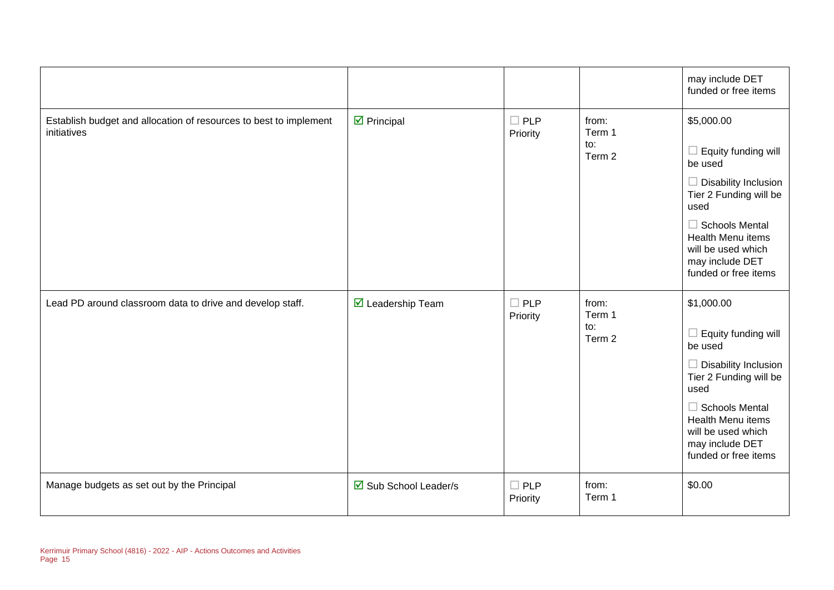|                                                                                  |                                         |                           |                                  | may include DET<br>funded or free items                                                                                                                                                                                                           |
|----------------------------------------------------------------------------------|-----------------------------------------|---------------------------|----------------------------------|---------------------------------------------------------------------------------------------------------------------------------------------------------------------------------------------------------------------------------------------------|
| Establish budget and allocation of resources to best to implement<br>initiatives | $\triangleright$ Principal              | $\square$ PLP<br>Priority | from:<br>Term 1<br>to:<br>Term 2 | \$5,000.00<br>Equity funding will<br>be used<br>Disability Inclusion<br>Tier 2 Funding will be<br>used<br>$\Box$ Schools Mental<br><b>Health Menu items</b><br>will be used which<br>may include DET<br>funded or free items                      |
| Lead PD around classroom data to drive and develop staff.                        | $\overline{\mathbf{M}}$ Leadership Team | $\square$ PLP<br>Priority | from:<br>Term 1<br>to:<br>Term 2 | \$1,000.00<br>Equity funding will<br>be used<br>Disability Inclusion<br>Tier 2 Funding will be<br>used<br><b>Schools Mental</b><br>$\overline{\phantom{a}}$<br>Health Menu items<br>will be used which<br>may include DET<br>funded or free items |
| Manage budgets as set out by the Principal                                       | ☑ Sub School Leader/s                   | $\square$ PLP<br>Priority | from:<br>Term 1                  | \$0.00                                                                                                                                                                                                                                            |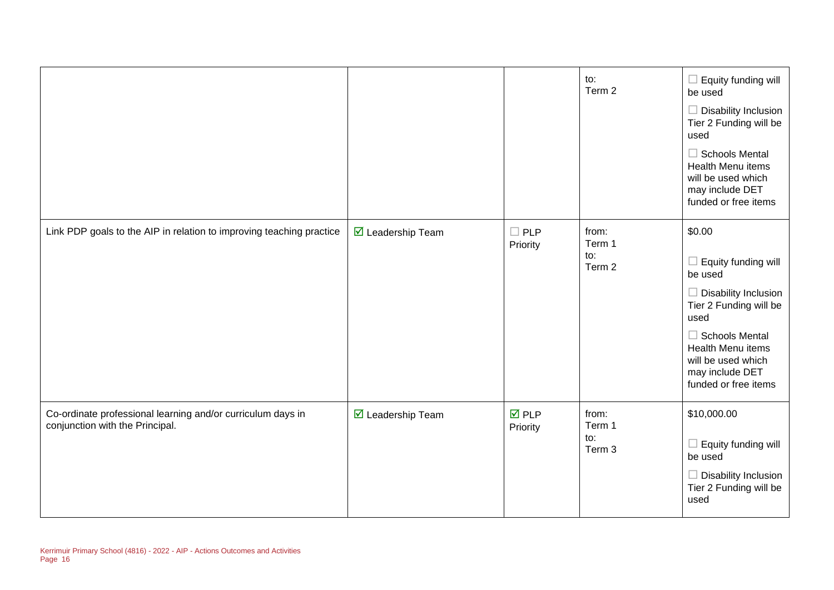|                                                                                                |                   |                                | to:<br>Term 2                    | $\Box$ Equity funding will<br>be used<br>Disability Inclusion<br>$\Box$<br>Tier 2 Funding will be<br>used<br>$\Box$ Schools Mental<br><b>Health Menu items</b><br>will be used which<br>may include DET<br>funded or free items         |
|------------------------------------------------------------------------------------------------|-------------------|--------------------------------|----------------------------------|-----------------------------------------------------------------------------------------------------------------------------------------------------------------------------------------------------------------------------------------|
| Link PDP goals to the AIP in relation to improving teaching practice                           | ☑ Leadership Team | $\square$ PLP<br>Priority      | from:<br>Term 1<br>to:<br>Term 2 | \$0.00<br>Equity funding will<br>⊔<br>be used<br>Disability Inclusion<br>$\Box$<br>Tier 2 Funding will be<br>used<br>$\Box$ Schools Mental<br><b>Health Menu items</b><br>will be used which<br>may include DET<br>funded or free items |
| Co-ordinate professional learning and/or curriculum days in<br>conjunction with the Principal. | ☑ Leadership Team | $\overline{M}$ PLP<br>Priority | from:<br>Term 1<br>to:<br>Term 3 | \$10,000.00<br>$\Box$ Equity funding will<br>be used<br>$\Box$ Disability Inclusion<br>Tier 2 Funding will be<br>used                                                                                                                   |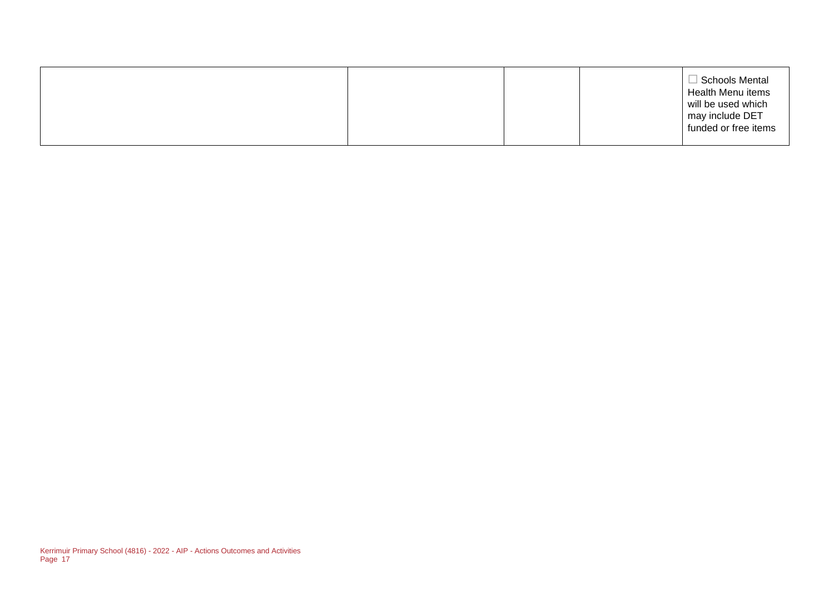|  | Schools Mental<br>Health Menu items<br>will be used which<br>may include DET<br>funded or free items |
|--|------------------------------------------------------------------------------------------------------|
|--|------------------------------------------------------------------------------------------------------|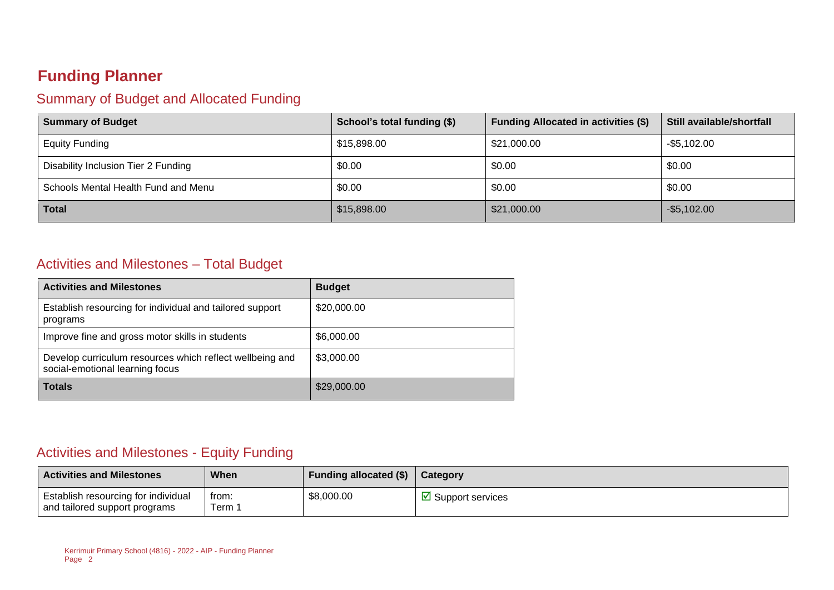### **Funding Planner**

### Summary of Budget and Allocated Funding

| <b>Summary of Budget</b>            | School's total funding (\$) | <b>Funding Allocated in activities (\$)</b> | Still available/shortfall |
|-------------------------------------|-----------------------------|---------------------------------------------|---------------------------|
| <b>Equity Funding</b>               | \$15,898.00                 | \$21,000.00                                 | $-$ \$5,102.00            |
| Disability Inclusion Tier 2 Funding | \$0.00                      | \$0.00                                      | \$0.00                    |
| Schools Mental Health Fund and Menu | \$0.00                      | \$0.00                                      | \$0.00                    |
| <b>Total</b>                        | \$15,898.00                 | \$21,000.00                                 | $-$ \$5,102.00            |

#### Activities and Milestones – Total Budget

| <b>Activities and Milestones</b>                                                            | <b>Budget</b> |
|---------------------------------------------------------------------------------------------|---------------|
| Establish resourcing for individual and tailored support<br>programs                        | \$20,000.00   |
| Improve fine and gross motor skills in students                                             | \$6,000.00    |
| Develop curriculum resources which reflect wellbeing and<br>social-emotional learning focus | \$3,000.00    |
| <b>Totals</b>                                                                               | \$29,000.00   |

### Activities and Milestones - Equity Funding

| <b>Activities and Milestones</b>                                     | <b>When</b>   | Funding allocated (\$)   Category |                              |
|----------------------------------------------------------------------|---------------|-----------------------------------|------------------------------|
| Establish resourcing for individual<br>and tailored support programs | from:<br>Term | \$8,000.00                        | $\boxtimes$ Support services |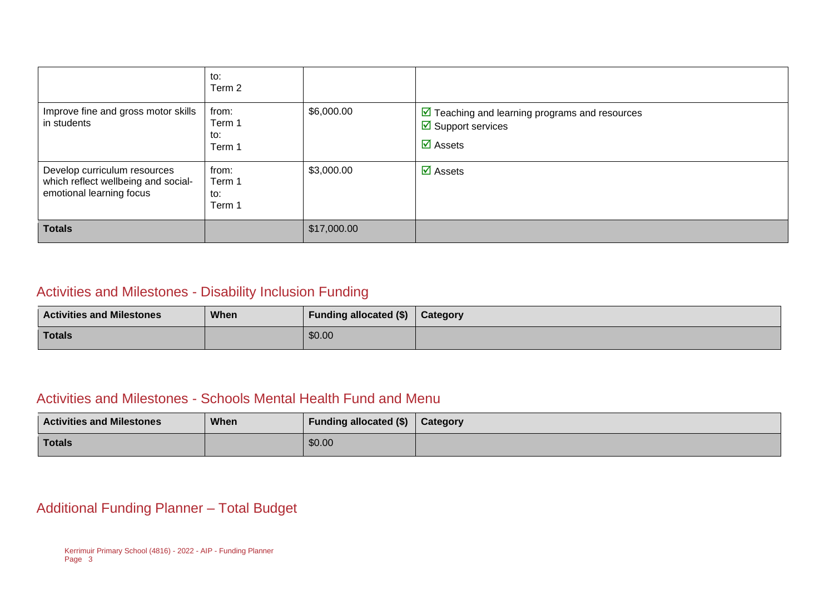|                                                                                                 | to:<br>Term 2                    |             |                                                                                                                                             |
|-------------------------------------------------------------------------------------------------|----------------------------------|-------------|---------------------------------------------------------------------------------------------------------------------------------------------|
| Improve fine and gross motor skills<br>in students                                              | from:<br>Term 1<br>to:<br>Term 1 | \$6,000.00  | $\triangleright$ Teaching and learning programs and resources<br>$\overline{\mathbf{y}}$ Support services<br>$\overline{\mathbf{M}}$ Assets |
| Develop curriculum resources<br>which reflect wellbeing and social-<br>emotional learning focus | from:<br>Term 1<br>to:<br>Term 1 | \$3,000.00  | $\overline{\mathbf{M}}$ Assets                                                                                                              |
| <b>Totals</b>                                                                                   |                                  | \$17,000.00 |                                                                                                                                             |

### Activities and Milestones - Disability Inclusion Funding

| <b>Activities and Milestones</b> | When | Funding allocated (\$) | Category |
|----------------------------------|------|------------------------|----------|
| <b>Totals</b>                    |      | \$0.00                 |          |

#### Activities and Milestones - Schools Mental Health Fund and Menu

| <b>Activities and Milestones</b> | <b>When</b> | Funding allocated (\$) | Category |
|----------------------------------|-------------|------------------------|----------|
| <b>Totals</b>                    |             | \$0.00                 |          |

### Additional Funding Planner – Total Budget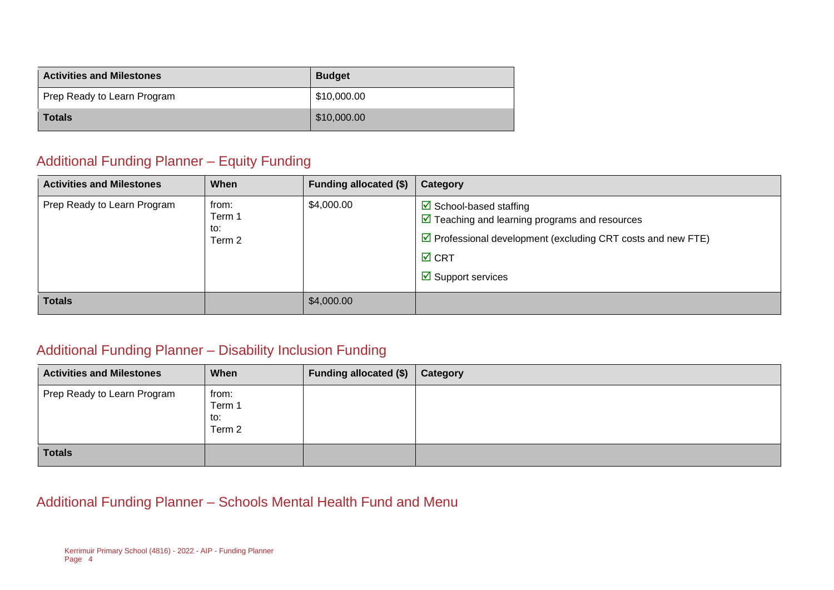| <b>Activities and Milestones</b> | <b>Budget</b> |
|----------------------------------|---------------|
| Prep Ready to Learn Program      | \$10,000.00   |
| <b>Totals</b>                    | \$10,000.00   |

### Additional Funding Planner – Equity Funding

| <b>Activities and Milestones</b> | When                             | Funding allocated (\$) | Category                                                                                                                                                                                                                                |
|----------------------------------|----------------------------------|------------------------|-----------------------------------------------------------------------------------------------------------------------------------------------------------------------------------------------------------------------------------------|
| Prep Ready to Learn Program      | from:<br>Term 1<br>to:<br>Term 2 | \$4,000.00             | $\triangleright$ School-based staffing<br>$\triangledown$ Teaching and learning programs and resources<br>$\triangledown$ Professional development (excluding CRT costs and new FTE)<br>$\boxtimes$ CRT<br>$\boxtimes$ Support services |
| <b>Totals</b>                    |                                  | \$4,000.00             |                                                                                                                                                                                                                                         |

### Additional Funding Planner – Disability Inclusion Funding

| <b>Activities and Milestones</b> | When                             | <b>Funding allocated (\$)</b> | Category |
|----------------------------------|----------------------------------|-------------------------------|----------|
| Prep Ready to Learn Program      | from:<br>Term 1<br>to:<br>Term 2 |                               |          |
| <b>Totals</b>                    |                                  |                               |          |

### Additional Funding Planner – Schools Mental Health Fund and Menu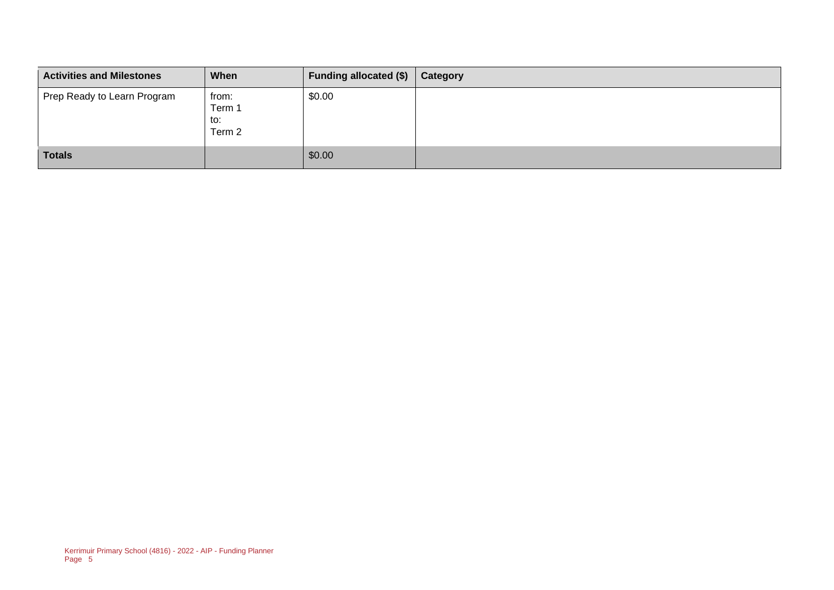| <b>Activities and Milestones</b> | When                             | Funding allocated (\$) Category |  |
|----------------------------------|----------------------------------|---------------------------------|--|
| Prep Ready to Learn Program      | from:<br>Term 1<br>to:<br>Term 2 | \$0.00                          |  |
| <b>Totals</b>                    |                                  | \$0.00                          |  |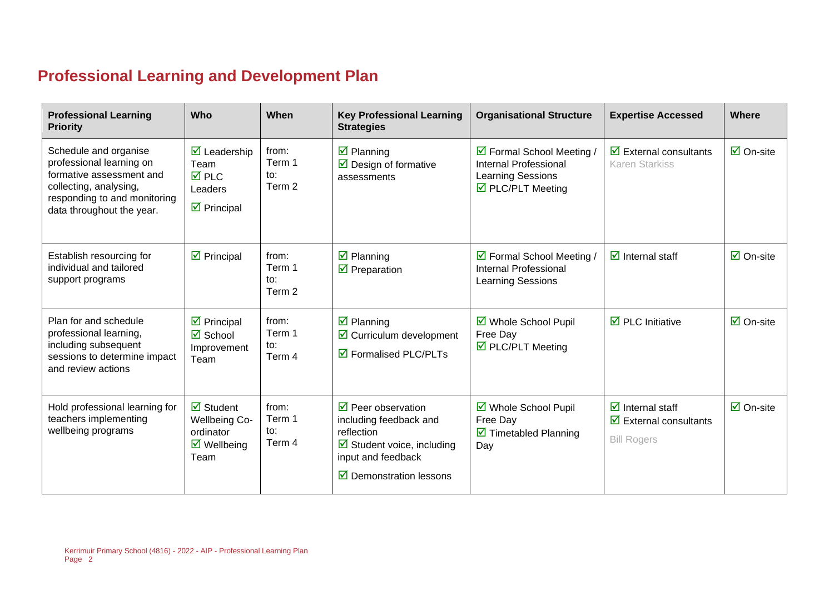# **Professional Learning and Development Plan**

| <b>Professional Learning</b><br><b>Priority</b>                                                                                                                      | Who                                                                                                        | When                             | <b>Key Professional Learning</b><br><b>Strategies</b>                                                                                                                           | <b>Organisational Structure</b>                                                                            | <b>Expertise Accessed</b>                                                                                    | Where                           |
|----------------------------------------------------------------------------------------------------------------------------------------------------------------------|------------------------------------------------------------------------------------------------------------|----------------------------------|---------------------------------------------------------------------------------------------------------------------------------------------------------------------------------|------------------------------------------------------------------------------------------------------------|--------------------------------------------------------------------------------------------------------------|---------------------------------|
| Schedule and organise<br>professional learning on<br>formative assessment and<br>collecting, analysing,<br>responding to and monitoring<br>data throughout the year. | $\overline{\mathbf{M}}$ Leadership<br>Team<br><b>⊠</b> PLC<br>Leaders<br>$\triangleright$ Principal        | from:<br>Term 1<br>to:<br>Term 2 | $\overline{\mathbf{z}}$ Planning<br>$\triangleright$ Design of formative<br>assessments                                                                                         | ☑ Formal School Meeting /<br>Internal Professional<br>Learning Sessions<br>$\triangledown$ PLC/PLT Meeting | $\overline{\mathbf{y}}$ External consultants<br><b>Karen Starkiss</b>                                        | $\boxdot$ On-site               |
| Establish resourcing for<br>individual and tailored<br>support programs                                                                                              | $\triangleright$ Principal                                                                                 | from:<br>Term 1<br>to:<br>Term 2 | $\overline{\mathbf{z}}$ Planning<br>$\triangledown$ Preparation                                                                                                                 | ☑ Formal School Meeting /<br><b>Internal Professional</b><br>Learning Sessions                             | $\overline{\mathbf{z}}$ Internal staff                                                                       | $\overline{\mathsf{M}}$ On-site |
| Plan for and schedule<br>professional learning,<br>including subsequent<br>sessions to determine impact<br>and review actions                                        | $\triangleright$ Principal<br>$\overline{\mathbf{z}}$ School<br>Improvement<br>Team                        | from:<br>Term 1<br>to:<br>Term 4 | $\overline{\mathbf{z}}$ Planning<br>$\triangleright$ Curriculum development<br>☑ Formalised PLC/PLTs                                                                            | ☑ Whole School Pupil<br>Free Day<br>☑ PLC/PLT Meeting                                                      | $\overline{\mathsf{M}}$ PLC Initiative                                                                       | $\overline{\mathsf{M}}$ On-site |
| Hold professional learning for<br>teachers implementing<br>wellbeing programs                                                                                        | $\overline{\mathbf{M}}$ Student<br>Wellbeing Co-<br>ordinator<br>$\overline{\mathbf{y}}$ Wellbeing<br>Team | from:<br>Term 1<br>to:<br>Term 4 | $\triangledown$ Peer observation<br>including feedback and<br>reflection<br>$\boxtimes$ Student voice, including<br>input and feedback<br>$\triangledown$ Demonstration lessons | ☑ Whole School Pupil<br>Free Day<br>$\overline{\mathbf{2}}$ Timetabled Planning<br>Day                     | $\overline{\mathbf{y}}$ Internal staff<br>$\overline{\mathbf{y}}$ External consultants<br><b>Bill Rogers</b> | $\overline{\boxtimes}$ On-site  |